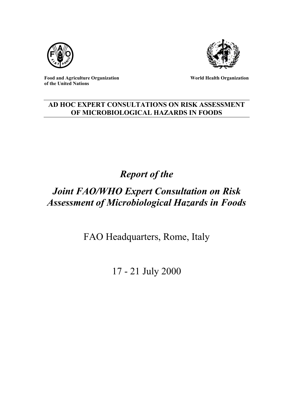



**Food and Agriculture Organization of the United Nations**

**World Health Organization**

## **AD HOC EXPERT CONSULTATIONS ON RISK ASSESSMENT OF MICROBIOLOGICAL HAZARDS IN FOODS**

# *Report of the*

# *Joint FAO/WHO Expert Consultation on Risk Assessment of Microbiological Hazards in Foods*

FAO Headquarters, Rome, Italy

17 - 21 July 2000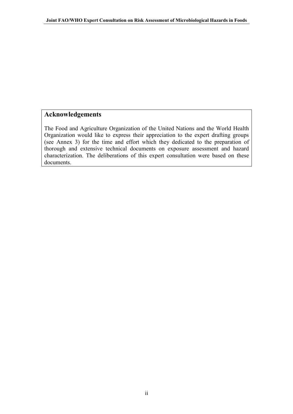## <span id="page-1-0"></span>**Acknowledgements**

The Food and Agriculture Organization of the United Nations and the World Health Organization would like to express their appreciation to the expert drafting groups (see Annex 3) for the time and effort which they dedicated to the preparation of thorough and extensive technical documents on exposure assessment and hazard characterization. The deliberations of this expert consultation were based on these documents.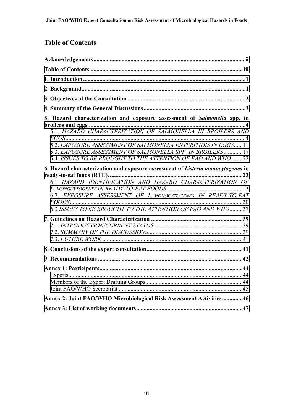## **Table of Contents**

| 5. Hazard characterization and exposure assessment of Salmonella spp. in        |
|---------------------------------------------------------------------------------|
|                                                                                 |
| 5.2. EXPOSURE ASSESSMENT OF SALMONELLA ENTERITIDIS IN EGGS11                    |
| 5.3. EXPOSURE ASSESSMENT OF SALMONELLA SPP. IN BROILERS17                       |
| 5.4. ISSUES TO BE BROUGHT TO THE ATTENTION OF FAO AND WHO22                     |
| 6. Hazard characterization and exposure assessment of Listeria monocytogenes in |
|                                                                                 |
| 6.1 HAZARD IDENTIFICATION AND HAZARD CHARACTERIZATION OF                        |
| 6.2. EXPOSURE ASSESSMENT OF L. MONOCYTOGENES IN READY-TO-EAT                    |
|                                                                                 |
| 6.3 ISSUES TO BE BROUGHT TO THE ATTENTION OF FAO AND WHO37                      |
|                                                                                 |
|                                                                                 |
|                                                                                 |
|                                                                                 |
|                                                                                 |
|                                                                                 |
|                                                                                 |
|                                                                                 |
|                                                                                 |
|                                                                                 |
| Annex 2: Joint FAO/WHO Microbiological Risk Assessment Activities46             |
|                                                                                 |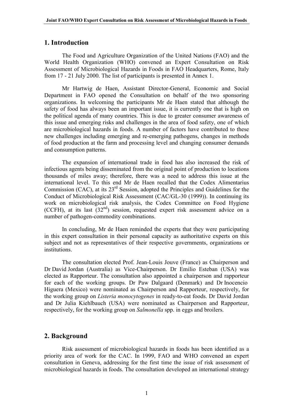## <span id="page-3-0"></span>**1. Introduction**

The Food and Agriculture Organization of the United Nations (FAO) and the World Health Organization (WHO) convened an Expert Consultation on Risk Assessment of Microbiological Hazards in Foods in FAO Headquarters, Rome, Italy from 17 - 21 July 2000. The list of participants is presented in Annex 1.

Mr Hartwig de Haen, Assistant Director-General, Economic and Social Department in FAO opened the Consultation on behalf of the two sponsoring organizations. In welcoming the participants Mr de Haen stated that although the safety of food has always been an important issue, it is currently one that is high on the political agenda of many countries. This is due to greater consumer awareness of this issue and emerging risks and challenges in the area of food safety, one of which are microbiological hazards in foods. A number of factors have contributed to these new challenges including emerging and re-emerging pathogens, changes in methods of food production at the farm and processing level and changing consumer demands and consumption patterns.

The expansion of international trade in food has also increased the risk of infectious agents being disseminated from the original point of production to locations thousands of miles away; therefore, there was a need to address this issue at the international level. To this end Mr de Haen recalled that the Codex Alimentarius Commission (CAC), at its 23rd Session, adopted the Principles and Guidelines for the Conduct of Microbiological Risk Assessment (CAC/GL-30 (1999)). In continuing its work on microbiological risk analysis, the Codex Committee on Food Hygiene (CCFH), at its last  $(32<sup>nd</sup>)$  session, requested expert risk assessment advice on a number of pathogen-commodity combinations.

In concluding, Mr de Haen reminded the experts that they were participating in this expert consultation in their personal capacity as authoritative experts on this subject and not as representatives of their respective governments, organizations or institutions.

The consultation elected Prof. Jean-Louis Jouve (France) as Chairperson and Dr David Jordan (Australia) as Vice-Chairperson. Dr Emilio Esteban (USA) was elected as Rapporteur. The consultation also appointed a chairperson and rapporteur for each of the working groups. Dr Paw Dalgaard (Denmark) and Dr Inocencio Higuera (Mexico) were nominated as Chairperson and Rapporteur, respectively, for the working group on *Listeria monocytogenes* in ready-to-eat foods. Dr David Jordan and Dr Julia Kiehlbauch (USA) were nominated as Chairperson and Rapporteur, respectively, for the working group on *Salmonella* spp. in eggs and broilers.

## **2. Background**

Risk assessment of microbiological hazards in foods has been identified as a priority area of work for the CAC. In 1999, FAO and WHO convened an expert consultation in Geneva, addressing for the first time the issue of risk assessment of microbiological hazards in foods. The consultation developed an international strategy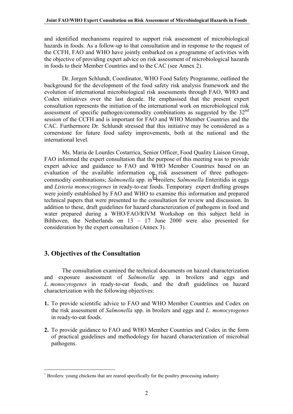<span id="page-4-0"></span>and identified mechanisms required to support risk assessment of microbiological hazards in foods. As a follow-up to that consultation and in response to the request of the CCFH, FAO and WHO have jointly embarked on a programme of activities with the objective of providing expert advice on risk assessment of microbiological hazards in foods to their Member Countries and to the CAC (see Annex 2).

Dr. Jorgen Schlundt, Coordinator, WHO Food Safety Programme, outlined the background for the development of the food safety risk analysis framework and the evolution of international microbiological risk assessments through FAO, WHO and Codex initiatives over the last decade. He emphasised that the present expert consultation represents the initiation of the international work on microbiological risk assessment of specific pathogen/commodity combinations as suggested by the  $32<sup>nd</sup>$ session of the CCFH and is important for FAO and WHO Member Countries and the CAC. Furthermore Dr. Schlundt stressed that this initiative may be considered as a cornerstone for future food safety improvements, both at the national and the international level.

Ms. Maria de Lourdes Costarrica, Senior Officer, Food Quality Liaison Group, FAO informed the expert consultation that the purpose of this meeting was to provide expert advice and guidance to FAO and WHO Member Countries based on an evaluation of the available information on risk assessment of three pathogencommodity combinations; *Salmonella* spp. in <sup>∗</sup> broilers; *Salmonella* Enteritidis in eggs and *Listeria monocytogenes* in ready-to-eat foods. Temporary expert drafting groups were jointly established by FAO and WHO to examine this information and prepared technical papers that were presented to the consultation for review and discussion. In addition to these, draft guidelines for hazard characterization of pathogens in food and water prepared during a WHO/FAO/RIVM Workshop on this subject held in Bilthoven, the Netherlands on 13 – 17 June 2000 were also presented for consideration by the expert consultation (Annex 3).

## **3. Objectives of the Consultation**

 $\overline{a}$ 

The consultation examined the technical documents on hazard characterization and exposure assessment of *Salmonella* spp. in broilers and eggs and *L. monocytogenes* in ready-to-eat foods, and the draft guidelines on hazard characterization with the following objectives:

- **1.** To provide scientific advice to FAO and WHO Member Countries and Codex on the risk assessment of *Salmonella* spp. in broilers and eggs and *L. monocytogenes* in ready-to-eat foods.
- **2.** To provide guidance to FAO and WHO Member Countries and Codex in the form of practical guidelines and methodology for hazard characterization of microbial pathogens.

<sup>∗</sup> Broilers: young chickens that are reared specifically for the poultry processing industry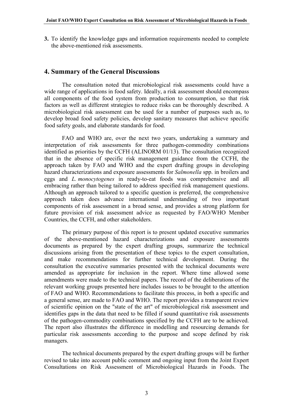<span id="page-5-0"></span>**3.** To identify the knowledge gaps and information requirements needed to complete the above-mentioned risk assessments.

#### **4. Summary of the General Discussions**

The consultation noted that microbiological risk assessments could have a wide range of applications in food safety. Ideally, a risk assessment should encompass all components of the food system from production to consumption, so that risk factors as well as different strategies to reduce risks can be thoroughly described. A microbiological risk assessment can be used for a number of purposes such as, to develop broad food safety policies, develop sanitary measures that achieve specific food safety goals, and elaborate standards for food.

FAO and WHO are, over the next two years, undertaking a summary and interpretation of risk assessments for three pathogen-commodity combinations identified as priorities by the CCFH (ALINORM 01/13). The consultation recognized that in the absence of specific risk management guidance from the CCFH, the approach taken by FAO and WHO and the expert drafting groups in developing hazard characterizations and exposure assessments for *Salmonella* spp. in broilers and eggs and *L. monocytogenes* in ready-to-eat foods was comprehensive and all embracing rather than being tailored to address specified risk management questions. Although an approach tailored to a specific question is preferred, the comprehensive approach taken does advance international understanding of two important components of risk assessment in a broad sense, and provides a strong platform for future provision of risk assessment advice as requested by FAO/WHO Member Countries, the CCFH, and other stakeholders.

The primary purpose of this report is to present updated executive summaries of the above-mentioned hazard characterizations and exposure assessments documents as prepared by the expert drafting groups, summarize the technical discussions arising from the presentation of these topics to the expert consultation, and make recommendations for further technical development. During the consultation the executive summaries presented with the technical documents were amended as appropriate for inclusion in the report. Where time allowed some amendments were made to the technical papers. The record of the deliberations of the relevant working groups presented here includes issues to be brought to the attention of FAO and WHO. Recommendations to facilitate this process, in both a specific and a general sense, are made to FAO and WHO. The report provides a transparent review of scientific opinion on the "state of the art" of microbiological risk assessment and identifies gaps in the data that need to be filled if sound quantitative risk assessments of the pathogen-commodity combinations specified by the CCFH are to be achieved. The report also illustrates the difference in modelling and resourcing demands for particular risk assessments according to the purpose and scope defined by risk managers.

The technical documents prepared by the expert drafting groups will be further revised to take into account public comment and ongoing input from the Joint Expert Consultations on Risk Assessment of Microbiological Hazards in Foods. The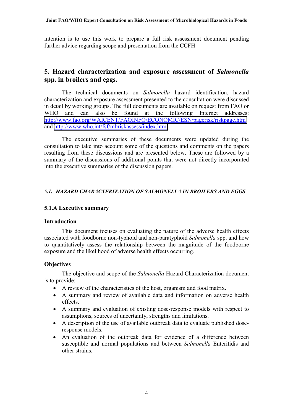<span id="page-6-0"></span>intention is to use this work to prepare a full risk assessment document pending further advice regarding scope and presentation from the CCFH.

## **5. Hazard characterization and exposure assessment of** *Salmonella* **spp. in broilers and eggs.**

The technical documents on *Salmonella* hazard identification, hazard characterization and exposure assessment presented to the consultation were discussed in detail by working groups. The full documents are available on request from FAO or WHO and can also be found at the following Internet addresses: <http://www.fao.org/WAICENT/FAOINFO/ECONOMIC/ESN/pagerisk/riskpage.htm> and [http://www.who.int/fsf/mbriskassess/index.htm.](http://www.who.int/fsf/mbriskassess/index.htm)

The executive summaries of these documents were updated during the consultation to take into account some of the questions and comments on the papers resulting from these discussions and are presented below. These are followed by a summary of the discussions of additional points that were not directly incorporated into the executive summaries of the discussion papers.

## *5.1. HAZARD CHARACTERIZATION OF SALMONELLA IN BROILERS AND EGGS*

#### **5.1.A Executive summary**

#### **Introduction**

This document focuses on evaluating the nature of the adverse health effects associated with foodborne non-typhoid and non-paratyphoid *Salmonella* spp. and how to quantitatively assess the relationship between the magnitude of the foodborne exposure and the likelihood of adverse health effects occurring.

#### **Objectives**

The objective and scope of the *Salmonella* Hazard Characterization document is to provide:

- A review of the characteristics of the host, organism and food matrix.
- A summary and review of available data and information on adverse health effects.
- A summary and evaluation of existing dose-response models with respect to assumptions, sources of uncertainty, strengths and limitations.
- A description of the use of available outbreak data to evaluate published doseresponse models.
- An evaluation of the outbreak data for evidence of a difference between susceptible and normal populations and between *Salmonella* Enteritidis and other strains.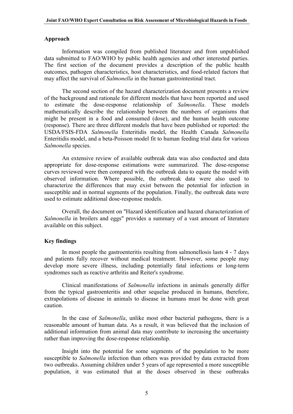#### **Approach**

Information was compiled from published literature and from unpublished data submitted to FAO/WHO by public health agencies and other interested parties. The first section of the document provides a description of the public health outcomes, pathogen characteristics, host characteristics, and food-related factors that may affect the survival of *Salmonella* in the human gastrointestinal tract.

The second section of the hazard characterization document presents a review of the background and rationale for different models that have been reported and used to estimate the dose-response relationship of *Salmonella*. These models mathematically describe the relationship between the numbers of organisms that might be present in a food and consumed (dose), and the human health outcome (response). There are three different models that have been published or reported: the USDA/FSIS-FDA *Salmonella* Enteritidis model, the Health Canada *Salmonella* Enteritidis model, and a beta-Poisson model fit to human feeding trial data for various *Salmonella* species.

An extensive review of available outbreak data was also conducted and data appropriate for dose-response estimations were summarized. The dose-response curves reviewed were then compared with the outbreak data to equate the model with observed information. Where possible, the outbreak data were also used to characterize the differences that may exist between the potential for infection in susceptible and in normal segments of the population. Finally, the outbreak data were used to estimate additional dose-response models.

Overall, the document on "Hazard identification and hazard characterization of *Salmonella* in broilers and eggs" provides a summary of a vast amount of literature available on this subject.

#### **Key findings**

In most people the gastroenteritis resulting from salmonellosis lasts 4 - 7 days and patients fully recover without medical treatment. However, some people may develop more severe illness, including potentially fatal infections or long-term syndromes such as reactive arthritis and Reiter's syndrome.

Clinical manifestations of *Salmonella* infections in animals generally differ from the typical gastroenteritis and other sequelae produced in humans, therefore, extrapolations of disease in animals to disease in humans must be done with great caution.

In the case of *Salmonella*, unlike most other bacterial pathogens, there is a reasonable amount of human data. As a result, it was believed that the inclusion of additional information from animal data may contribute to increasing the uncertainty rather than improving the dose-response relationship.

Insight into the potential for some segments of the population to be more susceptible to *Salmonella* infection than others was provided by data extracted from two outbreaks. Assuming children under 5 years of age represented a more susceptible population, it was estimated that at the doses observed in these outbreaks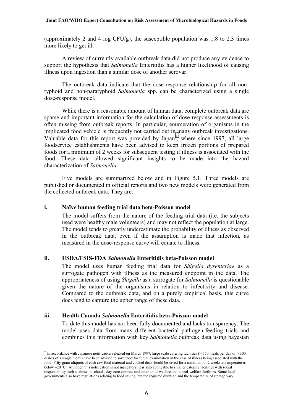(approximately 2 and 4 log CFU/g), the susceptible population was 1.8 to 2.3 times more likely to get ill.

A review of currently available outbreak data did not produce any evidence to support the hypothesis that *Salmonella* Enteritidis has a higher likelihood of causing illness upon ingestion than a similar dose of another serovar.

The outbreak data indicate that the dose-response relationship for all nontyphoid and non-paratyphoid *Salmonella* spp. can be characterized using a single dose-response model.

While there is a reasonable amount of human data, complete outbreak data are sparse and important information for the calculation of dose-response assessments is often missing from outbreak reports. In particular, enumeration of organisms in the implicated food vehicle is frequently not carried out in many outbreak investigations. Valuable data for this report was provided by Japan<sup>∗</sup> , where since 1997, all large foodservice establishments have been advised to keep frozen portions of prepared foods for a minimum of 2 weeks for subsequent testing if illness is associated with the food. These data allowed significant insights to be made into the hazard characterization of *Salmonella*.

Five models are summarized below and in Figure 5.1. Three models are published or documented in official reports and two new models were generated from the collected outbreak data. They are:

## **i. Naïve human feeding trial data beta-Poisson model**

The model suffers from the nature of the feeding trial data (i.e. the subjects used were healthy male volunteers) and may not reflect the population at large. The model tends to greatly underestimate the probability of illness as observed in the outbreak data, even if the assumption is made that infection, as measured in the dose-response curve will equate to illness.

#### **ii. USDA/FSIS-FDA** *Salmonella* **Enteritidis beta-Poisson model**

The model uses human feeding trial data for *Shigella dysenteriae* as a surrogate pathogen with illness as the measured endpoint in the data. The appropriateness of using *Shigella* as a surrogate for *Salmonella* is questionable given the nature of the organisms in relation to infectivity and disease. Compared to the outbreak data, and on a purely empirical basis, this curve does tend to capture the upper range of these data.

#### **iii. Health Canada** *Salmonella* **Enteritidis beta-Poisson model**

 $\overline{a}$ 

To date this model has not been fully documented and lacks transparency. The model uses data from many different bacterial pathogen-feeding trials and combines this information with key *Salmonella* outbreak data using bayesian

<sup>∗</sup> In accordance with Japanese notification released on March 1997, large scale catering facilities (> 750 meals per day or > 300 dishes of a single menu) have been advised to save food for future examination in the case of illness being associated with the food. Fifty gram aliquots of each raw food material and cooked dish should be saved for a minimum of 2 weeks at temperatures below  $-20$  °C. Although this notification is not mandatory, it is also applicable to smaller catering facilities with social responsibility such as those in schools, day-care centres, and other child-welfare and social-welfare facilities. Some local governments also have regulations relating to food saving, but the required duration and the temperature of storage vary.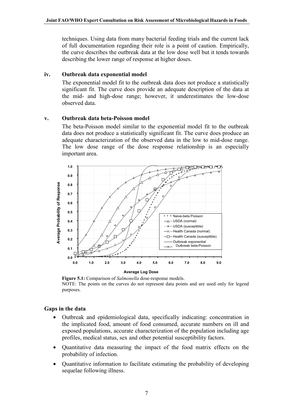techniques. Using data from many bacterial feeding trials and the current lack of full documentation regarding their role is a point of caution. Empirically, the curve describes the outbreak data at the low dose well but it tends towards describing the lower range of response at higher doses.

## **iv. Outbreak data exponential model**

The exponential model fit to the outbreak data does not produce a statistically significant fit. The curve does provide an adequate description of the data at the mid- and high-dose range; however, it underestimates the low-dose observed data.

## **v. Outbreak data beta-Poisson model**

The beta-Poisson model similar to the exponential model fit to the outbreak data does not produce a statistically significant fit. The curve does produce an adequate characterization of the observed data in the low to mid-dose range. The low dose range of the dose response relationship is an especially important area.



**Figure 5.1:** Comparison of *Salmonella* dose-response models. NOTE: The points on the curves do not represent data points and are used only for legend purposes.

## **Gaps in the data**

- Outbreak and epidemiological data, specifically indicating: concentration in the implicated food, amount of food consumed, accurate numbers on ill and exposed populations, accurate characterization of the population including age profiles, medical status, sex and other potential susceptibility factors.
- Quantitative data measuring the impact of the food matrix effects on the probability of infection.
- Ouantitative information to facilitate estimating the probability of developing sequelae following illness.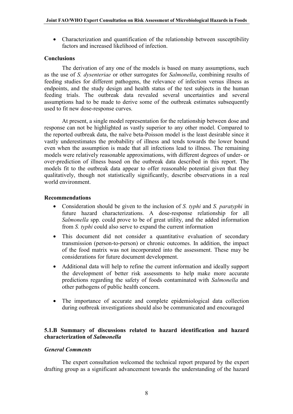• Characterization and quantification of the relationship between susceptibility factors and increased likelihood of infection.

## **Conclusions**

The derivation of any one of the models is based on many assumptions, such as the use of *S. dysenteriae* or other surrogates for *Salmonella*, combining results of feeding studies for different pathogens, the relevance of infection versus illness as endpoints, and the study design and health status of the test subjects in the human feeding trials. The outbreak data revealed several uncertainties and several assumptions had to be made to derive some of the outbreak estimates subsequently used to fit new dose-response curves.

At present, a single model representation for the relationship between dose and response can not be highlighted as vastly superior to any other model. Compared to the reported outbreak data, the naïve beta-Poisson model is the least desirable since it vastly underestimates the probability of illness and tends towards the lower bound even when the assumption is made that all infections lead to illness. The remaining models were relatively reasonable approximations, with different degrees of under- or over-prediction of illness based on the outbreak data described in this report. The models fit to the outbreak data appear to offer reasonable potential given that they qualitatively, though not statistically significantly, describe observations in a real world environment.

## **Recommendations**

- Consideration should be given to the inclusion of *S. typhi* and *S. paratyphi* in future hazard characterizations. A dose-response relationship for all *Salmonella* spp. could prove to be of great utility, and the added information from *S. typhi* could also serve to expand the current information
- This document did not consider a quantitative evaluation of secondary transmission (person-to-person) or chronic outcomes. In addition, the impact of the food matrix was not incorporated into the assessment. These may be considerations for future document development.
- Additional data will help to refine the current information and ideally support the development of better risk assessments to help make more accurate predictions regarding the safety of foods contaminated with *Salmonella* and other pathogens of public health concern.
- The importance of accurate and complete epidemiological data collection during outbreak investigations should also be communicated and encouraged

## **5.1.B Summary of discussions related to hazard identification and hazard characterization of** *Salmonella*

#### *General Comments*

The expert consultation welcomed the technical report prepared by the expert drafting group as a significant advancement towards the understanding of the hazard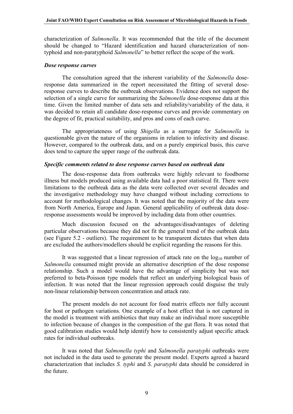characterization of *Salmonella*. It was recommended that the title of the document should be changed to "Hazard identification and hazard characterization of nontyphoid and non-paratyphoid *Salmonella*" to better reflect the scope of the work.

#### *Dose response curves*

The consultation agreed that the inherent variability of the *Salmonella* doseresponse data summarized in the report necessitated the fitting of several doseresponse curves to describe the outbreak observations. Evidence does not support the selection of a single curve for summarizing the *Salmonella* dose-response data at this time. Given the limited number of data sets and reliability/variability of the data, it was decided to retain all candidate dose-response curves and provide commentary on the degree of fit, practical suitability, and pros and cons of each curve.

The appropriateness of using *Shigella* as a surrogate for *Salmonella* is questionable given the nature of the organisms in relation to infectivity and disease. However, compared to the outbreak data, and on a purely empirical basis, this curve does tend to capture the upper range of the outbreak data.

#### *Specific comments related to dose response curves based on outbreak data*

The dose-response data from outbreaks were highly relevant to foodborne illness but models produced using available data had a poor statistical fit. There were limitations to the outbreak data as the data were collected over several decades and the investigative methodology may have changed without including corrections to account for methodological changes. It was noted that the majority of the data were from North America, Europe and Japan. General applicability of outbreak data doseresponse assessments would be improved by including data from other countries.

Much discussion focused on the advantages/disadvantages of deleting particular observations because they did not fit the general trend of the outbreak data (see Figure 5.2 - outliers). The requirement to be transparent dictates that when data are excluded the authors/modellers should be explicit regarding the reasons for this.

It was suggested that a linear regression of attack rate on the  $log_{10}$  number of *Salmonella* consumed might provide an alternative description of the dose response relationship. Such a model would have the advantage of simplicity but was not preferred to beta-Poisson type models that reflect an underlying biological basis of infection. It was noted that the linear regression approach could disguise the truly non-linear relationship between concentration and attack rate.

The present models do not account for food matrix effects nor fully account for host or pathogen variations. One example of a host effect that is not captured in the model is treatment with antibiotics that may make an individual more susceptible to infection because of changes in the composition of the gut flora. It was noted that good calibration studies would help identify how to consistently adjust specific attack rates for individual outbreaks.

It was noted that *Salmonella typhi* and *Salmonella paratyphi* outbreaks were not included in the data used to generate the present model. Experts agreed a hazard characterization that includes *S. typhi* and *S*. *paratyphi* data should be considered in the future.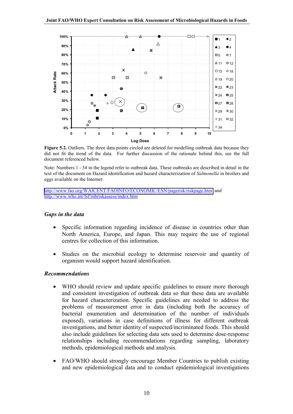

Figure 5.2. Outliers. The three data points circled are deleted for modelling outbreak data because they did not fit the trend of the data. For further discussion of the rationale behind this, see the full document referenced below.

Note: Numbers 1 - 34 in the legend refer to outbreak data. These outbreaks are described in detail in the text of the document on Hazard identification and hazard characterization of *Salmonella* in broilers and eggs available on the Internet:

<http://www.fao.org/WAICENT/FAOINFO/ECONOMIC/ESN/pagerisk/riskpage.htm>and http://www.who.int/fsf/mbriskassess/index.htm

#### *Gaps in the data*

- Specific information regarding incidence of disease in countries other than North America, Europe, and Japan. This may require the use of regional centres for collection of this information.
- Studies on the microbial ecology to determine reservoir and quantity of organism would support hazard identification.

#### *Recommendations*

- WHO should review and update specific guidelines to ensure more thorough and consistent investigation of outbreak data so that these data are available for hazard characterization. Specific guidelines are needed to address the problems of measurement error in data (including both the accuracy of bacterial enumeration and determination of the number of individuals exposed), variations in case definitions of illness for different outbreak investigations, and better identity of suspected/incriminated foods. This should also include guidelines for selecting data sets used to determine dose-response relationships including recommendations regarding sampling, laboratory methods, epidemiological methods and analysis.
- FAO/WHO should strongly encourage Member Countries to publish existing and new epidemiological data and to conduct epidemiological investigations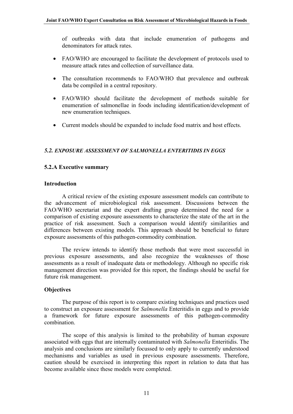<span id="page-13-0"></span>of outbreaks with data that include enumeration of pathogens and denominators for attack rates.

- FAO/WHO are encouraged to facilitate the development of protocols used to measure attack rates and collection of surveillance data.
- The consultation recommends to FAO/WHO that prevalence and outbreak data be compiled in a central repository.
- FAO/WHO should facilitate the development of methods suitable for enumeration of salmonellae in foods including identification/development of new enumeration techniques.
- Current models should be expanded to include food matrix and host effects.

## *5.2. EXPOSURE ASSESSMENT OF SALMONELLA ENTERITIDIS IN EGGS*

## **5.2.A Executive summary**

#### **Introduction**

A critical review of the existing exposure assessment models can contribute to the advancement of microbiological risk assessment. Discussions between the FAO/WHO secretariat and the expert drafting group determined the need for a comparison of existing exposure assessments to characterize the state of the art in the practice of risk assessment. Such a comparison would identify similarities and differences between existing models. This approach should be beneficial to future exposure assessments of this pathogen-commodity combination.

The review intends to identify those methods that were most successful in previous exposure assessments, and also recognize the weaknesses of those assessments as a result of inadequate data or methodology. Although no specific risk management direction was provided for this report, the findings should be useful for future risk management.

## **Objectives**

The purpose of this report is to compare existing techniques and practices used to construct an exposure assessment for *Salmonella* Enteritidis in eggs and to provide a framework for future exposure assessments of this pathogen-commodity combination.

The scope of this analysis is limited to the probability of human exposure associated with eggs that are internally contaminated with *Salmonella* Enteritidis. The analysis and conclusions are similarly focussed to only apply to currently understood mechanisms and variables as used in previous exposure assessments. Therefore, caution should be exercised in interpreting this report in relation to data that has become available since these models were completed.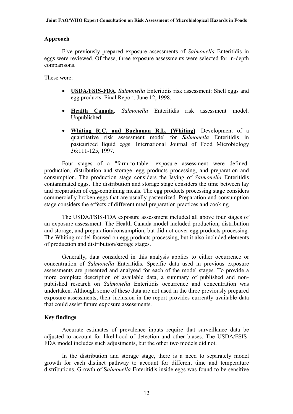## **Approach**

Five previously prepared exposure assessments of *Salmonella* Enteritidis in eggs were reviewed. Of these, three exposure assessments were selected for in-depth comparisons.

These were:

- **USDA/FSIS-FDA.** *Salmonella* Enteritidis risk assessment: Shell eggs and egg products. Final Report. June 12, 1998.
- **Health Canada**. *Salmonella* Enteritidis risk assessment model. Unpublished.
- **Whiting R.C. and Buchanan R.L. (Whiting)**. Development of a quantitative risk assessment model for *Salmonella* Enteritidis in pasteurized liquid eggs. International Journal of Food Microbiology 36:111-125, 1997.

Four stages of a "farm-to-table" exposure assessment were defined: production, distribution and storage, egg products processing, and preparation and consumption. The production stage considers the laying of *Salmonella* Enteritidis contaminated eggs. The distribution and storage stage considers the time between lay and preparation of egg-containing meals. The egg products processing stage considers commercially broken eggs that are usually pasteurized. Preparation and consumption stage considers the effects of different meal preparation practices and cooking.

The USDA/FSIS-FDA exposure assessment included all above four stages of an exposure assessment. The Health Canada model included production, distribution and storage, and preparation/consumption, but did not cover egg products processing. The Whiting model focused on egg products processing, but it also included elements of production and distribution/storage stages.

Generally, data considered in this analysis applies to either occurrence or concentration of *Salmonella* Enteritidis. Specific data used in previous exposure assessments are presented and analysed for each of the model stages. To provide a more complete description of available data, a summary of published and nonpublished research on *Salmonella* Enteritidis occurrence and concentration was undertaken. Although some of these data are not used in the three previously prepared exposure assessments, their inclusion in the report provides currently available data that could assist future exposure assessments.

## **Key findings**

Accurate estimates of prevalence inputs require that surveillance data be adjusted to account for likelihood of detection and other biases. The USDA/FSIS-FDA model includes such adjustments, but the other two models did not.

In the distribution and storage stage, there is a need to separately model growth for each distinct pathway to account for different time and temperature distributions. Growth of S*almonella* Enteritidis inside eggs was found to be sensitive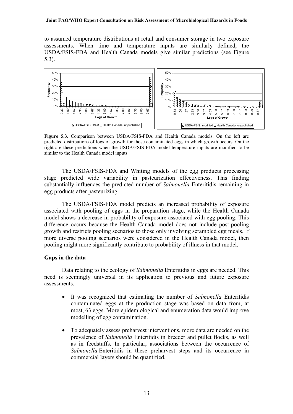to assumed temperature distributions at retail and consumer storage in two exposure assessments. When time and temperature inputs are similarly defined, the USDA/FSIS-FDA and Health Canada models give similar predictions (see Figure 5.3).



**Figure 5.3.** Comparison between USDA/FSIS-FDA and Health Canada models. On the left are predicted distributions of logs of growth for those contaminated eggs in which growth occurs. On the right are these predictions when the USDA/FSIS-FDA model temperature inputs are modified to be similar to the Health Canada model inputs.

The USDA/FSIS-FDA and Whiting models of the egg products processing stage predicted wide variability in pasteurization effectiveness. This finding substantially influences the predicted number of *Salmonella* Enteritidis remaining in egg products after pasteurizing.

The USDA/FSIS-FDA model predicts an increased probability of exposure associated with pooling of eggs in the preparation stage, while the Health Canada model shows a decrease in probability of exposure associated with egg pooling. This difference occurs because the Health Canada model does not include post-pooling growth and restricts pooling scenarios to those only involving scrambled egg meals. If more diverse pooling scenarios were considered in the Health Canada model, then pooling might more significantly contribute to probability of illness in that model.

## **Gaps in the data**

Data relating to the ecology of *Salmonella* Enteritidis in eggs are needed. This need is seemingly universal in its application to previous and future exposure assessments.

- It was recognized that estimating the number of *Salmonella* Enteritidis contaminated eggs at the production stage was based on data from, at most, 63 eggs. More epidemiological and enumeration data would improve modelling of egg contamination.
- To adequately assess preharvest interventions, more data are needed on the prevalence of *Salmonella* Enteritidis in breeder and pullet flocks, as well as in feedstuffs. In particular, associations between the occurrence of *Salmonella* Enteritidis in these preharvest steps and its occurrence in commercial layers should be quantified.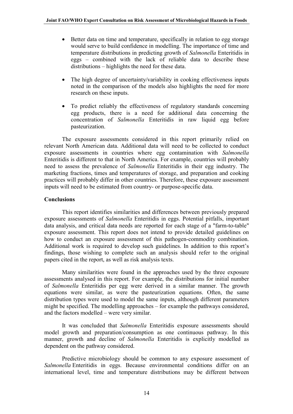- Better data on time and temperature, specifically in relation to egg storage would serve to build confidence in modelling. The importance of time and temperature distributions in predicting growth of *Salmonella* Enteritidis in eggs – combined with the lack of reliable data to describe these distributions – highlights the need for these data.
- The high degree of uncertainty/variability in cooking effectiveness inputs noted in the comparison of the models also highlights the need for more research on these inputs.
- To predict reliably the effectiveness of regulatory standards concerning egg products, there is a need for additional data concerning the concentration of *Salmonella* Enteritidis in raw liquid egg before pasteurization.

The exposure assessments considered in this report primarily relied on relevant North American data. Additional data will need to be collected to conduct exposure assessments in countries where egg contamination with *Salmonella* Enteritidis is different to that in North America. For example, countries will probably need to assess the prevalence of *Salmonella* Enteritidis in their egg industry. The marketing fractions, times and temperatures of storage, and preparation and cooking practices will probably differ in other countries. Therefore, these exposure assessment inputs will need to be estimated from country- or purpose-specific data.

## **Conclusions**

This report identifies similarities and differences between previously prepared exposure assessments of *Salmonella* Enteritidis in eggs. Potential pitfalls, important data analysis, and critical data needs are reported for each stage of a "farm-to-table" exposure assessment. This report does not intend to provide detailed guidelines on how to conduct an exposure assessment of this pathogen-commodity combination. Additional work is required to develop such guidelines. In addition to this report's findings, those wishing to complete such an analysis should refer to the original papers cited in the report, as well as risk analysis texts.

Many similarities were found in the approaches used by the three exposure assessments analysed in this report. For example, the distributions for initial number of *Salmonella* Enteritidis per egg were derived in a similar manner. The growth equations were similar, as were the pasteurization equations. Often, the same distribution types were used to model the same inputs, although different parameters might be specified. The modelling approaches – for example the pathways considered, and the factors modelled – were very similar.

It was concluded that *Salmonella* Enteritidis exposure assessments should model growth and preparation/consumption as one continuous pathway. In this manner, growth and decline of *Salmonella* Enteritidis is explicitly modelled as dependent on the pathway considered.

Predictive microbiology should be common to any exposure assessment of *Salmonella* Enteritidis in eggs. Because environmental conditions differ on an international level, time and temperature distributions may be different between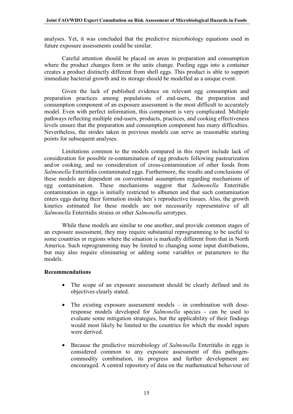analyses. Yet, it was concluded that the predictive microbiology equations used in future exposure assessments could be similar.

Careful attention should be placed on areas in preparation and consumption where the product changes form or the units change. Pooling eggs into a container creates a product distinctly different from shell eggs. This product is able to support immediate bacterial growth and its storage should be modelled as a unique event.

Given the lack of published evidence on relevant egg consumption and preparation practices among populations of end-users, the preparation and consumption component of an exposure assessment is the most difficult to accurately model. Even with perfect information, this component is very complicated. Multiple pathways reflecting multiple end-users, products, practices, and cooking effectiveness levels ensure that the preparation and consumption component has many difficulties. Nevertheless, the strides taken in previous models can serve as reasonable starting points for subsequent analyses.

Limitations common to the models compared in this report include lack of consideration for possible re-contamination of egg products following pasteurization and/or cooking, and no consideration of cross-contamination of other foods from *Salmonella* Enteritidis contaminated eggs. Furthermore, the results and conclusions of these models are dependent on conventional assumptions regarding mechanisms of egg contamination. These mechanisms suggest that *Salmonella* Enteritidis contamination in eggs is initially restricted to albumen and that such contamination enters eggs during their formation inside hen's reproductive tissues. Also, the growth kinetics estimated for these models are not necessarily representative of all *Salmonella* Enteritidis strains or other *Salmonella* serotypes.

While these models are similar to one another, and provide common stages of an exposure assessment, they may require substantial reprogramming to be useful to some countries or regions where the situation is markedly different from that in North America. Such reprogramming may be limited to changing some input distributions, but may also require eliminating or adding some variables or parameters to the models.

## **Recommendations**

- The scope of an exposure assessment should be clearly defined and its objectives clearly stated.
- The existing exposure assessment models in combination with doseresponse models developed for *Salmonella* species - can be used to evaluate some mitigation strategies, but the applicability of their findings would most likely be limited to the countries for which the model inputs were derived.
- Because the predictive microbiology of *Salmonella* Enteritidis in eggs is considered common to any exposure assessment of this pathogencommodity combination, its progress and further development are encouraged. A central repository of data on the mathematical behaviour of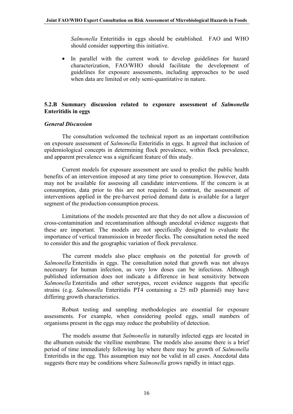*Salmonella* Enteritidis in eggs should be established. FAO and WHO should consider supporting this initiative.

• In parallel with the current work to develop guidelines for hazard characterization, FAO/WHO should facilitate the development of guidelines for exposure assessments, including approaches to be used when data are limited or only semi-quantitative in nature.

## **5.2.B Summary discussion related to exposure assessment of** *Salmonella* **Enteritidis in eggs**

#### *General Discussion*

The consultation welcomed the technical report as an important contribution on exposure assessment of *Salmonella* Enteritidis in eggs. It agreed that inclusion of epidemiological concepts in determining flock prevalence, within flock prevalence, and apparent prevalence was a significant feature of this study.

Current models for exposure assessment are used to predict the public health benefits of an intervention imposed at any time prior to consumption. However, data may not be available for assessing all candidate interventions. If the concern is at consumption, data prior to this are not required. In contrast, the assessment of interventions applied in the pre-harvest period demand data is available for a larger segment of the production-consumption process.

Limitations of the models presented are that they do not allow a discussion of cross-contamination and recontamination although anecdotal evidence suggests that these are important. The models are not specifically designed to evaluate the importance of vertical transmission in breeder flocks. The consultation noted the need to consider this and the geographic variation of flock prevalence.

The current models also place emphasis on the potential for growth of *Salmonella* Enteritidis in eggs. The consultation noted that growth was not always necessary for human infection, as very low doses can be infectious. Although published information does not indicate a difference in heat sensitivity between *Salmonella* Enteritidis and other serotypes, recent evidence suggests that specific strains (e.g. *Salmonella* Enteritidis PT4 containing a 25 mD plasmid) may have differing growth characteristics.

Robust testing and sampling methodologies are essential for exposure assessments. For example, when considering pooled eggs, small numbers of organisms present in the eggs may reduce the probability of detection.

The models assume that *Salmonella* in naturally infected eggs are located in the albumen outside the vitelline membrane. The models also assume there is a brief period of time immediately following lay where there may be growth of *Salmonella* Enteritidis in the egg. This assumption may not be valid in all cases. Anecdotal data suggests there may be conditions where *Salmonella* grows rapidly in intact eggs.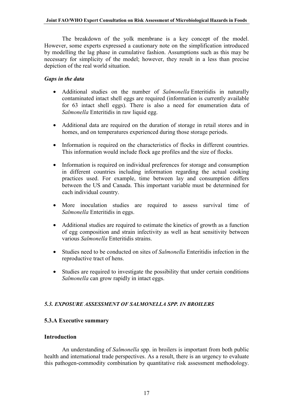<span id="page-19-0"></span>The breakdown of the yolk membrane is a key concept of the model. However, some experts expressed a cautionary note on the simplification introduced by modelling the lag phase in cumulative fashion. Assumptions such as this may be necessary for simplicity of the model; however, they result in a less than precise depiction of the real world situation.

## *Gaps in the data*

- Additional studies on the number of *Salmonella* Enteritidis in naturally contaminated intact shell eggs are required (information is currently available for 63 intact shell eggs). There is also a need for enumeration data of *Salmonella* Enteritidis in raw liquid egg.
- Additional data are required on the duration of storage in retail stores and in homes, and on temperatures experienced during those storage periods.
- Information is required on the characteristics of flocks in different countries. This information would include flock age profiles and the size of flocks.
- Information is required on individual preferences for storage and consumption in different countries including information regarding the actual cooking practices used. For example, time between lay and consumption differs between the US and Canada. This important variable must be determined for each individual country.
- More inoculation studies are required to assess survival time of *Salmonella* Enteritidis in eggs.
- Additional studies are required to estimate the kinetics of growth as a function of egg composition and strain infectivity as well as heat sensitivity between various *Salmonella* Enteritidis strains.
- Studies need to be conducted on sites of *Salmonella* Enteritidis infection in the reproductive tract of hens.
- Studies are required to investigate the possibility that under certain conditions *Salmonella* can grow rapidly in intact eggs.

## *5.3. EXPOSURE ASSESSMENT OF SALMONELLA SPP. IN BROILERS*

## **5.3.A Executive summary**

#### **Introduction**

An understanding of *Salmonella* spp. in broilers is important from both public health and international trade perspectives. As a result, there is an urgency to evaluate this pathogen-commodity combination by quantitative risk assessment methodology.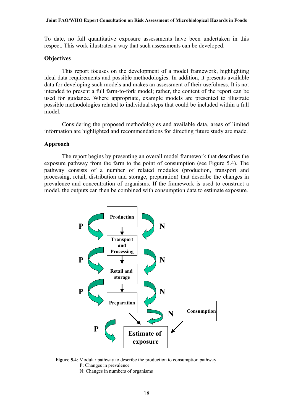To date, no full quantitative exposure assessments have been undertaken in this respect. This work illustrates a way that such assessments can be developed.

#### **Objectives**

This report focuses on the development of a model framework, highlighting ideal data requirements and possible methodologies. In addition, it presents available data for developing such models and makes an assessment of their usefulness. It is not intended to present a full farm-to-fork model; rather, the content of the report can be used for guidance. Where appropriate, example models are presented to illustrate possible methodologies related to individual steps that could be included within a full model.

Considering the proposed methodologies and available data, areas of limited information are highlighted and recommendations for directing future study are made.

#### **Approach**

The report begins by presenting an overall model framework that describes the exposure pathway from the farm to the point of consumption (see Figure 5.4). The pathway consists of a number of related modules (production, transport and processing, retail, distribution and storage, preparation) that describe the changes in prevalence and concentration of organisms. If the framework is used to construct a model, the outputs can then be combined with consumption data to estimate exposure.



**Figure 5.4**: Modular pathway to describe the production to consumption pathway. P: Changes in prevalence

N: Changes in numbers of organisms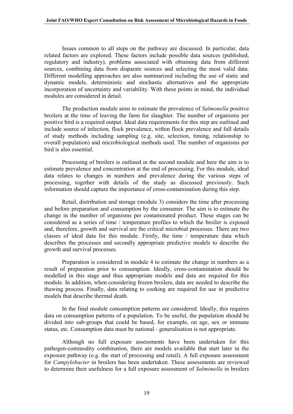Issues common to all steps on the pathway are discussed. In particular, data related factors are explored. These factors include possible data sources (published, regulatory and industry), problems associated with obtaining data from different sources, combining data from disparate sources and selecting the most valid data. Different modelling approaches are also summarized including the use of static and dynamic models, deterministic and stochastic alternatives and the appropriate incorporation of uncertainty and variability. With these points in mind, the individual modules are considered in detail.

The production module aims to estimate the prevalence of *Salmonella* positive broilers at the time of leaving the farm for slaughter. The number of organisms per positive bird is a required output. Ideal data requirements for this step are outlined and include source of infection, flock prevalence, within flock prevalence and full details of study methods including sampling (e.g. site, selection, timing, relationship to overall population) and microbiological methods used. The number of organisms per bird is also essential.

Processing of broilers is outlined in the second module and here the aim is to estimate prevalence and concentration at the end of processing. For this module, ideal data relates to changes in numbers and prevalence during the various steps of processing, together with details of the study as discussed previously. Such information should capture the importance of cross-contamination during this step.

Retail, distribution and storage (module 3) considers the time after processing and before preparation and consumption by the consumer. The aim is to estimate the change in the number of organisms per contaminated product. These stages can be considered as a series of time / temperature profiles to which the broiler is exposed and, therefore, growth and survival are the critical microbial processes. There are two classes of ideal data for this module. Firstly, the time / temperature data which describes the processes and secondly appropriate predictive models to describe the growth and survival processes.

Preparation is considered in module 4 to estimate the change in numbers as a result of preparation prior to consumption. Ideally, cross-contamination should be modelled in this stage and thus appropriate models and data are required for this module. In addition, when considering frozen broilers, data are needed to describe the thawing process. Finally, data relating to cooking are required for use in predictive models that describe thermal death.

In the final module consumption patterns are considered. Ideally, this requires data on consumption patterns of a population. To be useful, the population should be divided into sub-groups that could be based, for example, on age, sex or immune status, etc. Consumption data must be national - generalisation is not appropriate.

Although no full exposure assessments have been undertaken for this pathogen-commodity combination, there are models available that start later in the exposure pathway (e.g. the start of processing and retail). A full exposure assessment for *Campylobacter* in broilers has been undertaken. These assessments are reviewed to determine their usefulness for a full exposure assessment of *Salmonella* in broilers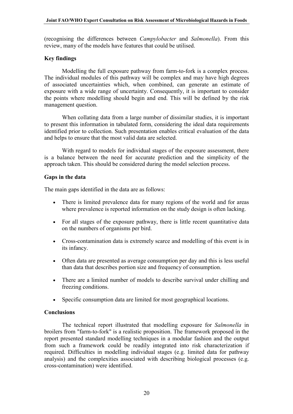(recognising the differences between *Campylobacter* and *Salmonella*). From this review, many of the models have features that could be utilised.

#### **Key findings**

Modelling the full exposure pathway from farm-to-fork is a complex process. The individual modules of this pathway will be complex and may have high degrees of associated uncertainties which, when combined, can generate an estimate of exposure with a wide range of uncertainty. Consequently, it is important to consider the points where modelling should begin and end. This will be defined by the risk management question.

When collating data from a large number of dissimilar studies, it is important to present this information in tabulated form, considering the ideal data requirements identified prior to collection. Such presentation enables critical evaluation of the data and helps to ensure that the most valid data are selected.

With regard to models for individual stages of the exposure assessment, there is a balance between the need for accurate prediction and the simplicity of the approach taken. This should be considered during the model selection process.

## **Gaps in the data**

The main gaps identified in the data are as follows:

- There is limited prevalence data for many regions of the world and for areas where prevalence is reported information on the study design is often lacking.
- For all stages of the exposure pathway, there is little recent quantitative data on the numbers of organisms per bird.
- Cross-contamination data is extremely scarce and modelling of this event is in its infancy.
- Often data are presented as average consumption per day and this is less useful than data that describes portion size and frequency of consumption.
- There are a limited number of models to describe survival under chilling and freezing conditions.
- Specific consumption data are limited for most geographical locations.

#### **Conclusions**

The technical report illustrated that modelling exposure for *Salmonella* in broilers from "farm-to-fork" is a realistic proposition. The framework proposed in the report presented standard modelling techniques in a modular fashion and the output from such a framework could be readily integrated into risk characterization if required. Difficulties in modelling individual stages (e.g. limited data for pathway analysis) and the complexities associated with describing biological processes (e.g. cross-contamination) were identified.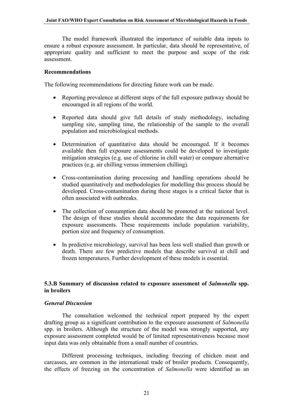The model framework illustrated the importance of suitable data inputs to ensure a robust exposure assessment. In particular, data should be representative, of appropriate quality and sufficient to meet the purpose and scope of the risk assessment.

#### **Recommendations**

The following recommendations for directing future work can be made.

- Reporting prevalence at different steps of the full exposure pathway should be encouraged in all regions of the world.
- Reported data should give full details of study methodology, including sampling site, sampling time, the relationship of the sample to the overall population and microbiological methods.
- Determination of quantitative data should be encouraged. If it becomes available then full exposure assessments could be developed to investigate mitigation strategies (e.g. use of chlorine in chill water) or compare alternative practices (e.g. air chilling versus immersion chilling).
- Cross-contamination during processing and handling operations should be studied quantitatively and methodologies for modelling this process should be developed. Cross-contamination during these stages is a critical factor that is often associated with outbreaks.
- The collection of consumption data should be promoted at the national level. The design of these studies should accommodate the data requirements for exposure assessments. These requirements include population variability, portion size and frequency of consumption.
- In predictive microbiology, survival has been less well studied than growth or death. There are few predictive models that describe survival at chill and frozen temperatures. Further development of these models is essential.

## **5.3.B Summary of discussion related to exposure assessment of** *Salmonella* **spp. in broilers**

#### *General Discussion*

The consultation welcomed the technical report prepared by the expert drafting group as a significant contribution to the exposure assessment of *Salmonella* spp. in broilers. Although the structure of the model was strongly supported, any exposure assessment completed would be of limited representativeness because most input data was only obtainable from a small number of countries.

Different processing techniques, including freezing of chicken meat and carcasses, are common in the international trade of broiler products. Consequently, the effects of freezing on the concentration of *Salmonella* were identified as an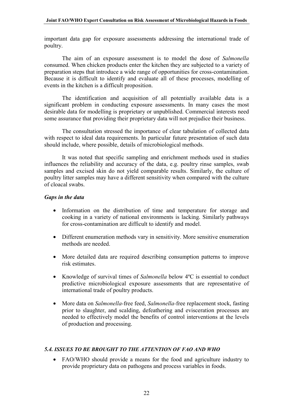<span id="page-24-0"></span>important data gap for exposure assessments addressing the international trade of poultry.

The aim of an exposure assessment is to model the dose of *Salmonella* consumed. When chicken products enter the kitchen they are subjected to a variety of preparation steps that introduce a wide range of opportunities for cross-contamination. Because it is difficult to identify and evaluate all of these processes, modelling of events in the kitchen is a difficult proposition.

The identification and acquisition of all potentially available data is a significant problem in conducting exposure assessments. In many cases the most desirable data for modelling is proprietary or unpublished. Commercial interests need some assurance that providing their proprietary data will not prejudice their business.

The consultation stressed the importance of clear tabulation of collected data with respect to ideal data requirements. In particular future presentation of such data should include, where possible, details of microbiological methods.

It was noted that specific sampling and enrichment methods used in studies influences the reliability and accuracy of the data, e.g. poultry rinse samples, swab samples and excised skin do not yield comparable results. Similarly, the culture of poultry litter samples may have a different sensitivity when compared with the culture of cloacal swabs.

## *Gaps in the data*

- Information on the distribution of time and temperature for storage and cooking in a variety of national environments is lacking. Similarly pathways for cross-contamination are difficult to identify and model.
- Different enumeration methods vary in sensitivity. More sensitive enumeration methods are needed.
- More detailed data are required describing consumption patterns to improve risk estimates.
- Knowledge of survival times of *Salmonella* below 4ºC is essential to conduct predictive microbiological exposure assessments that are representative of international trade of poultry products.
- More data on *Salmonella-*free feed, *Salmonella-*free replacement stock, fasting prior to slaughter, and scalding, defeathering and evisceration processes are needed to effectively model the benefits of control interventions at the levels of production and processing.

## *5.4. ISSUES TO BE BROUGHT TO THE ATTENTION OF FAO AND WHO*

• FAO/WHO should provide a means for the food and agriculture industry to provide proprietary data on pathogens and process variables in foods.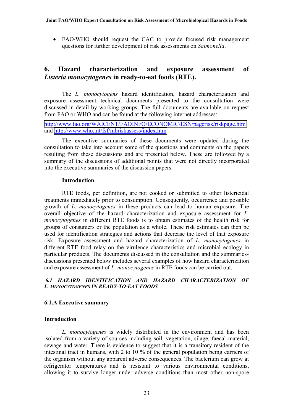<span id="page-25-0"></span>• FAO/WHO should request the CAC to provide focused risk management questions for further development of risk assessments on *Salmonella*.

## **6. Hazard characterization and exposure assessment of** *Listeria monocytogenes* **in ready-to-eat foods (RTE).**

The *L. monocytogens* hazard identification, hazard characterization and exposure assessment technical documents presented to the consultation were discussed in detail by working groups. The full documents are available on request from FAO or WHO and can be found at the following internet addresses:

<http://www.fao.org/WAICENT/FAOINFO/ECONOMIC/ESN/pagerisk/riskpage.htm> and<http://www.who.int/fsf/mbriskassess/index.htm>

The executive summaries of these documents were updated during the consultation to take into account some of the questions and comments on the papers resulting from these discussions and are presented below. These are followed by a summary of the discussions of additional points that were not directly incorporated into the executive summaries of the discussion papers.

#### **Introduction**

RTE foods, per definition, are not cooked or submitted to other listericidal treatments immediately prior to consumption. Consequently, occurrence and possible growth of *L. monocytogenes* in these products can lead to human exposure. The overall objective of the hazard characterization and exposure assessment for *L. monocytogenes* in different RTE foods is to obtain estimates of the health risk for groups of consumers or the population as a whole. These risk estimates can then be used for identification strategies and actions that decrease the level of that exposure risk. Exposure assessment and hazard characterization of *L. monocytogenes* in different RTE food relay on the virulence characteristics and microbial ecology in particular products. The documents discussed in the consultation and the summariesdiscussions presented below includes several examples of how hazard characterization and exposure assessment of *L. monocytogenes* in RTE foods can be carried out.

## *6.1 HAZARD IDENTIFICATION AND HAZARD CHARACTERIZATION OF L. MONOCYTOGENES IN READY-TO-EAT FOODS*

## **6.1.A Executive summary**

## **Introduction**

*L. monocytogenes* is widely distributed in the environment and has been isolated from a variety of sources including soil, vegetation, silage, faecal material, sewage and water. There is evidence to suggest that it is a transitory resident of the intestinal tract in humans, with 2 to 10 % of the general population being carriers of the organism without any apparent adverse consequences. The bacterium can grow at refrigerator temperatures and is resistant to various environmental conditions, allowing it to survive longer under adverse conditions than most other non-spore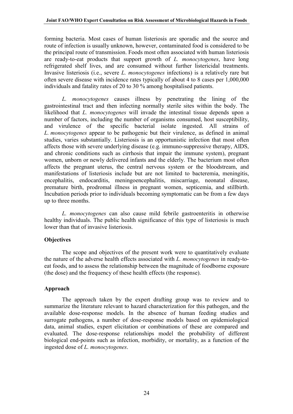forming bacteria. Most cases of human listeriosis are sporadic and the source and route of infection is usually unknown, however, contaminated food is considered to be the principal route of transmission. Foods most often associated with human listeriosis are ready-to-eat products that support growth of *L. monocytogenes*, have long refrigerated shelf lives, and are consumed without further listericidal treatments. Invasive listeriosis (i.e., severe *L. monocytogenes* infections) is a relatively rare but often severe disease with incidence rates typically of about 4 to 8 cases per 1,000,000 individuals and fatality rates of 20 to 30 % among hospitalised patients.

*L. monocytogenes* causes illness by penetrating the lining of the gastrointestinal tract and then infecting normally sterile sites within the body. The likelihood that *L. monocytogenes* will invade the intestinal tissue depends upon a number of factors, including the number of organisms consumed, host susceptibility, and virulence of the specific bacterial isolate ingested. All strains of *L. monocytogenes* appear to be pathogenic but their virulence, as defined in animal studies, varies substantially. Listeriosis is an opportunistic infection that most often affects those with severe underlying disease (e.g. immuno-suppressive therapy, AIDS, and chronic conditions such as cirrhosis that impair the immune system), pregnant women, unborn or newly delivered infants and the elderly. The bacterium most often affects the pregnant uterus, the central nervous system or the bloodstream, and manifestations of listeriosis include but are not limited to bacteremia, meningitis, encephalitis, endocarditis, meningoencephalitis, miscarriage, neonatal disease, premature birth, prodromal illness in pregnant women, septicemia, and stillbirth. Incubation periods prior to individuals becoming symptomatic can be from a few days up to three months.

*L. monocytogenes* can also cause mild febrile gastroenteritis in otherwise healthy individuals. The public health significance of this type of listeriosis is much lower than that of invasive listeriosis.

## **Objectives**

The scope and objectives of the present work were to quantitatively evaluate the nature of the adverse health effects associated with *L. monocytogenes* in ready-toeat foods, and to assess the relationship between the magnitude of foodborne exposure (the dose) and the frequency of these health effects (the response).

## **Approach**

The approach taken by the expert drafting group was to review and to summarize the literature relevant to hazard characterization for this pathogen, and the available dose-response models. In the absence of human feeding studies and surrogate pathogens, a number of dose-response models based on epidemiological data, animal studies, expert elicitation or combinations of these are compared and evaluated. The dose-response relationships model the probability of different biological end-points such as infection, morbidity, or mortality, as a function of the ingested dose of *L. monocytogenes*.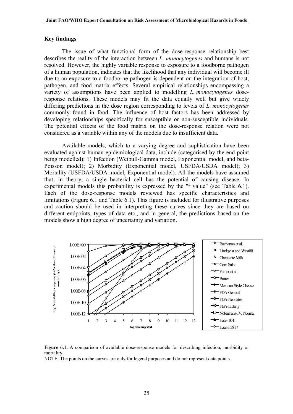#### **Key findings**

The issue of what functional form of the dose-response relationship best describes the reality of the interaction between *L. monocytogenes* and humans is not resolved. However, the highly variable response to exposure to a foodborne pathogen of a human population, indicates that the likelihood that any individual will become ill due to an exposure to a foodborne pathogen is dependent on the integration of host, pathogen, and food matrix effects. Several empirical relationships encompassing a variety of assumptions have been applied to modelling *L. monocytogenes* doseresponse relations. These models may fit the data equally well but give widely differing predictions in the dose region corresponding to levels of *L. monocytogenes* commonly found in food. The influence of host factors has been addressed by developing relationships specifically for susceptible or non-susceptible individuals. The potential effects of the food matrix on the dose-response relation were not considered as a variable within any of the models due to insufficient data.

Available models, which to a varying degree and sophistication have been evaluated against human epidemiological data, include (categorised by the end-point being modelled): 1) Infection (Weibull-Gamma model, Exponential model, and beta-Poisson model); 2) Morbidity (Exponential model, USFDA/USDA model); 3) Mortality (USFDA/USDA model, Exponential model). All the models have assumed that, in theory, a single bacterial cell has the potential of causing disease. In experimental models this probability is expressed by the "r value" (see Table 6.1). Each of the dose-response models reviewed has specific characteristics and limitations (Figure 6.1 and Table 6.1). This figure is included for illustrative purposes and caution should be used in interpreting these curves since they are based on different endpoints, types of data etc., and in general, the predictions based on the models show a high degree of uncertainty and variation.



**Figure 6.1.** A comparison of available dose-response models for describing infection, morbidity or mortality.

NOTE: The points on the curves are only for legend purposes and do not represent data points.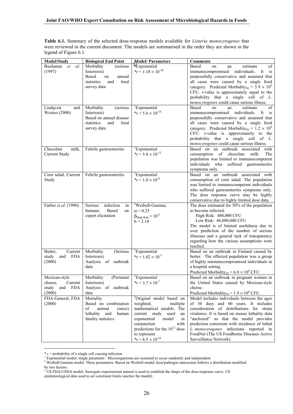**Table 6.1.** Summary of the selected dose-response models available for *Listeria monocytogenes* that were reviewed in the current document. The models are summarised in the order they are shown in the legend of Figure 6.1.

| <b>Model/Study</b>                                                          | <b>Biological End Point</b>                                                                                  | <b>Model/Parameters</b>                                                                                                                                                                                                                                                       | <b>Comments</b>                                                                                                                                                                                                                                                                                                                                                                                 |
|-----------------------------------------------------------------------------|--------------------------------------------------------------------------------------------------------------|-------------------------------------------------------------------------------------------------------------------------------------------------------------------------------------------------------------------------------------------------------------------------------|-------------------------------------------------------------------------------------------------------------------------------------------------------------------------------------------------------------------------------------------------------------------------------------------------------------------------------------------------------------------------------------------------|
| Buchanan<br>al.<br>et<br>(1997)                                             | Morbidity<br>(serious<br>listeriosis)<br>Based<br>on<br>annual<br>food<br>statistics<br>and<br>survey data   | <sup>1</sup> Exponential<br>$*_T = 1.18 \times 10^{-10}$                                                                                                                                                                                                                      | Based<br>estimate<br>оf<br>on<br>an<br>immunocompromised individuals.<br>It<br>is<br>purposefully conservative and assumed that<br>all cases were caused by a single food<br>category. Predicted Morbidity <sub>50</sub> = $5.9 \times 10^9$<br>CFU. r-value is approximately equal to the<br>probability that a single cell of L.<br>monocytogenes could cause serious illness.                |
| Lindqvist<br>and<br>Westoo (2000)                                           | Morbidity<br>(serious<br>listeriosis)<br>Based on annual disease<br>statistics<br>food<br>and<br>survey data | <sup>1</sup> Exponential<br>$*_T$ = 5.6 $\times$ 10 <sup>-10</sup>                                                                                                                                                                                                            | <b>Based</b><br>on<br>estimate<br>of<br>an<br>immunocompromised individuals.<br>It<br>is<br>purposefully conservative and assumed that<br>all cases were caused by a single food<br>category. Predicted Morbidity <sub>50</sub> = $1.2 \times 10^9$<br>CFU. r-value is approximately to the<br>probability that a single cell of L.<br>monocytogenes could cause serious illness.               |
| Chocolate<br>milk,<br><b>Current Study</b>                                  | Febrile gastroenteritis                                                                                      | <sup>1</sup> Exponential<br>$*_T$ = 5.8 $\times$ 10 <sup>-12</sup>                                                                                                                                                                                                            | Based on an outbreak associated<br>with<br>consumption of chocolate<br>milk.<br>The<br>population was limited to immunocompetent<br>individuals who suffered gastroenteritis<br>symptoms only.                                                                                                                                                                                                  |
| Corn salad, Current<br>Study                                                | Febrile gastroenteritis                                                                                      | <sup>1</sup> Exponential<br>$*_T$ = 1.8 $\times$ 10 <sup>-8</sup>                                                                                                                                                                                                             | Based on an outbreak associated with<br>consumption of corn salad. The population<br>was limited to immunocompetent individuals<br>who suffered gastroenteritis symptoms only.<br>The dose response curve may be highly<br>conservative due to highly limited dose data.                                                                                                                        |
| Farber et al. (1996)                                                        | Serious<br>infection<br>in<br>Based<br>humans.<br>on<br>expert elicitation                                   | <sup>2</sup> Weibull-Gamma,<br>$\alpha$ = 0.25<br>$\beta_{High Risk} = 10^{11}$<br>$b = 2.14$                                                                                                                                                                                 | The dose estimated for 50% of the population<br>to become infected:<br>High Risk: 480,000 CFU<br>Low Risk: 48,000,000 CFU<br>The model is of limited usefulness due to<br>over prediction of the number of serious<br>illnesses and a general lack of transparency<br>regarding how the various assumptions were<br>reached.                                                                    |
| Current<br>Butter,<br><b>FDA</b><br>study<br>and<br>(2000)                  | Morbidity<br>(Serious<br>listeriosis)<br>Analysis of outbreak<br>data                                        | <sup>1</sup> Exponential<br>$*_T$ = 1.02 $\times$ 10 <sup>-5</sup>                                                                                                                                                                                                            | Based on an outbreak in Finland caused by<br>butter. The effected population was a group<br>of highly immunocompromised individuals in<br>a hospital setting.<br>Predicted Morbidity <sub>50</sub> = $6.8 \times 10^4$ CFU                                                                                                                                                                      |
| Mexican-style<br>Current<br>cheese,<br><b>FDA</b><br>study<br>and<br>(2000) | Morbidity (Perinatal Exponential<br>listeriosis)<br>Analysis of outbreak<br>data                             | $*_T$ = 3.7 $\times$ 10 <sup>-7</sup>                                                                                                                                                                                                                                         | Based on an outbreak in pregnant women in<br>the United States caused by Mexican-style<br>cheese.<br>Predicted Morbidity <sub>50</sub> = $1.9 \times 10^6$ CFU.                                                                                                                                                                                                                                 |
| FDA-General, FDA<br>(2000)                                                  | Mortality<br>Based on combination<br>animal<br>of<br>(mice)<br>lethality and<br>human<br>fatality statistics | <sup>3</sup> Original model based on<br>weighted,<br>multiple<br>mathematical models. The<br>study used<br>current<br>an<br>exponential<br>model<br>in<br>conjunction<br>with<br>predictions for the $10^{12}$ dose<br>to represent<br>$*_T$ = 8.5 $\times$ 10 <sup>-16</sup> | Model includes individuals between the ages<br>of 30 days and 60 years. It includes<br>consideration of distributions for strain<br>virulence. It is based on mouse lethality data<br>"anchored" so that the model provides<br>prediction consistent with incidence of lethal<br>L. monocytogenes infections reported in<br>FoodNet (The US Foodborne Diseases Active<br>Surveillance Network). |

 $\overline{a}$ 

<sup>\*</sup> r = probability of a single cell causing infection<br><sup>1</sup> Exponential model: single parameter. Microorganisms are assumed to occur randomly and independent<br><sup>2</sup> Weibull-Gamma model: Three parameters. Based on Weibull model,

by two factors.<br><sup>3</sup> US FDA/USDA model: Surrogate experimental animal is used to establish the shape of the dose-response curve. US

epidemiological data used to set constraint limits (anchor the model)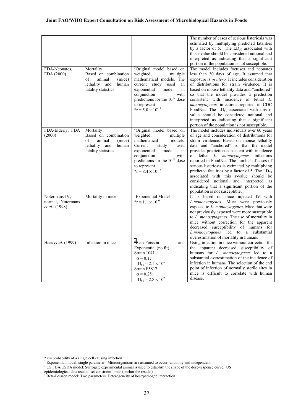| FDA-Neonates.<br>FDA (2000)                                  | Mortality<br>Based on combination<br>of<br>animal<br>(mice)<br>lethality<br>and<br>human<br>fatality statistics | <sup>3</sup> Original model based on<br>weighted,<br>multiple<br>mathematical models. The<br>study used<br>current<br>an<br>exponential<br>model<br>in<br>conjunction<br>with<br>predictions for the $10^{12}$ dose<br>to represent<br>$*_T = 5.0 \times 10^{-14}$               | The number of cases of serious listeriosis was<br>estimated by multiplying predicted fatalities<br>by a factor of 5. The $LD_{50}$ associated with<br>this r-value should be considered notional and<br>interpreted as indicating that a significant<br>portion of the population is not susceptible.<br>The model includes foetuses and neonates<br>less than 30 days of age. It assumed that<br>exposure is <i>in utero</i> . It includes consideration<br>of distributions for strain virulence. It is<br>based on mouse lethality data and "anchored"<br>so that the model provides a prediction<br>consistent with incidence of lethal L.<br>monocytogenes infections reported in CDC<br>FoodNet. The $LD_{50}$ associated with this r-<br>value should be considered notional and<br>interpreted as indicating that a significant<br>portion of the population is not susceptible. |
|--------------------------------------------------------------|-----------------------------------------------------------------------------------------------------------------|----------------------------------------------------------------------------------------------------------------------------------------------------------------------------------------------------------------------------------------------------------------------------------|------------------------------------------------------------------------------------------------------------------------------------------------------------------------------------------------------------------------------------------------------------------------------------------------------------------------------------------------------------------------------------------------------------------------------------------------------------------------------------------------------------------------------------------------------------------------------------------------------------------------------------------------------------------------------------------------------------------------------------------------------------------------------------------------------------------------------------------------------------------------------------------|
| FDA-Elderly, FDA<br>(2000)                                   | Mortality<br>Based on combination<br>of<br>animal<br>(mice)<br>lethality and<br>human<br>fatality statistics    | <sup>3</sup> Original model based on<br>weighted,<br>multiple<br>mathematical<br>models.<br>Current<br>study<br>used<br>model<br>exponential<br>in<br>conjunction<br>with<br>predictions for the 10 <sup>12</sup> dose<br>to represent<br>$*_T$ = 8.4 $\times$ 10 <sup>-15</sup> | The model includes individuals over 60 years<br>of age and consideration of distributions for<br>strain virulence. Based on mouse lethality<br>data and "anchored" so that the model<br>provides prediction consistent with incidence<br>of lethal L. monocytogenes infections<br>reported in FoodNet. The number of cases of<br>serious listeriosis is estimated by multiplying<br>predicted fatalities by a factor of 5. The $LD_{50}$<br>associated with this r-value should be<br>considered notional and interpreted as<br>indicating that a significant portion of the<br>population is not susceptible.                                                                                                                                                                                                                                                                           |
| Notermans-IV,<br>normal, Notermans<br><i>et al.</i> , (1998) | Mortality in mice                                                                                               | <sup>1</sup> Exponential Model<br>$*_T = 1.1 \times 10^{-6}$                                                                                                                                                                                                                     | It is based on mice injected IV with<br>L monocytogenes. Mice were previously<br>exposed to L. monocytogenes. Mice that were<br>not previously exposed were more susceptible<br>to L. monocytogenes. The use of mortality in<br>mice without correction for the apparent<br>decreased susceptibility of humans for<br>L monocytogenes led to a substantial<br>overestimation of mortality in humans                                                                                                                                                                                                                                                                                                                                                                                                                                                                                      |
| Haas et al. (1999)                                           | Infection in mice                                                                                               | <sup>4</sup> Beta-Poisson<br>and<br>Exponential (no fit)<br>Strain 1041<br>$\alpha$ = 0.17<br>$ID_{50} = 2.1 \times 10^6$<br>Strain F5817<br>$\alpha$ = 0.25<br>$ID_{50} = 2.8 \times 10^2$                                                                                      | Using infection in mice without correction for<br>the apparent decreased susceptibility of<br>humans for L. monocytogenes led to a<br>substantial overestimation of the incidence of<br>infection in humans. The selection of the end<br>point of infection of normally sterile sites in<br>mice is difficult to correlate with human<br>disease.                                                                                                                                                                                                                                                                                                                                                                                                                                                                                                                                        |

 $\overline{a}$ 

 $*$  r = probability of a single cell causing infection

<sup>&</sup>lt;sup>1</sup> Exponential model: single parameter. Microorganisms are assumed to occur randomly and independent

<sup>&</sup>lt;sup>3</sup> US FDA/USDA model: Surrogate experimental animal is used to establish the shape of the dose-response curve. US

epidemiological data used to set constraint limits (anchor the results)<br><sup>4</sup> Beta-Poisson model: Two parameters. Heterogeneity of host/pathogen interaction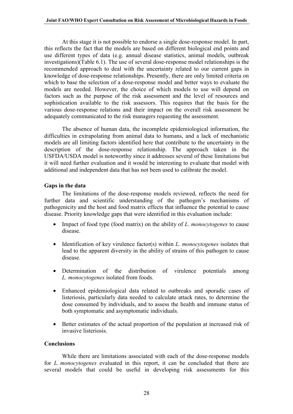At this stage it is not possible to endorse a single dose-response model. In part, this reflects the fact that the models are based on different biological end points and use different types of data (e.g. annual disease statistics, animal models, outbreak investigations)(Table 6.1). The use of several dose-response model relationships is the recommended approach to deal with the uncertainty related to our current gaps in knowledge of dose-response relationships. Presently, there are only limited criteria on which to base the selection of a dose-response model and better ways to evaluate the models are needed. However, the choice of which models to use will depend on factors such as the purpose of the risk assessment and the level of resources and sophistication available to the risk assessors. This requires that the basis for the various dose-response relations and their impact on the overall risk assessment be adequately communicated to the risk managers requesting the assessment.

The absence of human data, the incomplete epidemiological information, the difficulties in extrapolating from animal data to humans, and a lack of mechanistic models are all limiting factors identified here that contribute to the uncertainty in the description of the dose-response relationship. The approach taken in the USFDA/USDA model is noteworthy since it addresses several of these limitations but it will need further evaluation and it would be interesting to evaluate that model with additional and independent data that has not been used to calibrate the model.

#### **Gaps in the data**

The limitations of the dose-response models reviewed, reflects the need for further data and scientific understanding of the pathogen's mechanisms of pathogenicity and the host and food matrix effects that influence the potential to cause disease. Priority knowledge gaps that were identified in this evaluation include:

- Impact of food type (food matrix) on the ability of *L. monocytogenes* to cause disease.
- Identification of key virulence factor(s) within *L. monocytogenes* isolates that lead to the apparent diversity in the ability of strains of this pathogen to cause disease.
- Determination of the distribution of virulence potentials among *L. monocytogenes* isolated from foods.
- Enhanced epidemiological data related to outbreaks and sporadic cases of listeriosis, particularly data needed to calculate attack rates, to determine the dose consumed by individuals, and to assess the health and immune status of both symptomatic and asymptomatic individuals.
- Better estimates of the actual proportion of the population at increased risk of invasive listeriosis.

#### **Conclusions**

While there are limitations associated with each of the dose-response models for *L. monocytogenes* evaluated in this report, it can be concluded that there are several models that could be useful in developing risk assessments for this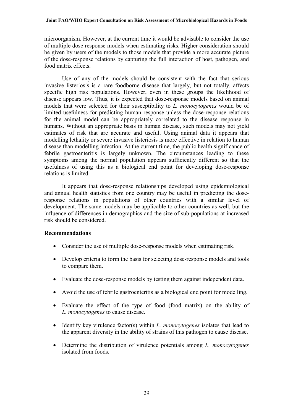microorganism. However, at the current time it would be advisable to consider the use of multiple dose response models when estimating risks. Higher consideration should be given by users of the models to those models that provide a more accurate picture of the dose-response relations by capturing the full interaction of host, pathogen, and food matrix effects.

Use of any of the models should be consistent with the fact that serious invasive listeriosis is a rare foodborne disease that largely, but not totally, affects specific high risk populations. However, even in these groups the likelihood of disease appears low. Thus, it is expected that dose-response models based on animal models that were selected for their susceptibility to *L. monocytogenes* would be of limited usefulness for predicting human response unless the dose-response relations for the animal model can be appropriately correlated to the disease response in humans. Without an appropriate basis in human disease, such models may not yield estimates of risk that are accurate and useful. Using animal data it appears that modelling lethality or severe invasive listeriosis is more effective in relation to human disease than modelling infection. At the current time, the public health significance of febrile gastroenteritis is largely unknown. The circumstances leading to these symptoms among the normal population appears sufficiently different so that the usefulness of using this as a biological end point for developing dose-response relations is limited.

It appears that dose-response relationships developed using epidemiological and annual health statistics from one country may be useful in predicting the doseresponse relations in populations of other countries with a similar level of development. The same models may be applicable to other countries as well, but the influence of differences in demographics and the size of sub-populations at increased risk should be considered.

## **Recommendations**

- Consider the use of multiple dose-response models when estimating risk.
- Develop criteria to form the basis for selecting dose-response models and tools to compare them.
- Evaluate the dose-response models by testing them against independent data.
- Avoid the use of febrile gastroenteritis as a biological end point for modelling.
- Evaluate the effect of the type of food (food matrix) on the ability of *L. monocytogenes* to cause disease.
- Identify key virulence factor(s) within *L. monocytogenes* isolates that lead to the apparent diversity in the ability of strains of this pathogen to cause disease.
- Determine the distribution of virulence potentials among *L. monocytogenes* isolated from foods.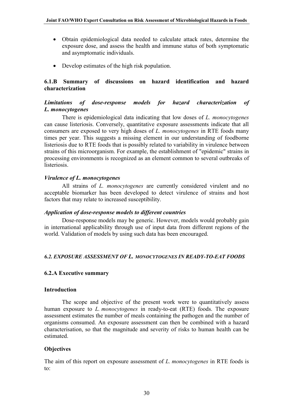- <span id="page-32-0"></span>• Obtain epidemiological data needed to calculate attack rates, determine the exposure dose, and assess the health and immune status of both symptomatic and asymptomatic individuals.
- Develop estimates of the high risk population.

## **6.1.B Summary of discussions on hazard identification and hazard characterization**

## *Limitations of dose-response models for hazard characterization of L. monocytogenes*

There is epidemiological data indicating that low doses of *L. monocytogenes* can cause listeriosis. Conversely, quantitative exposure assessments indicate that all consumers are exposed to very high doses of *L. monocytogenes* in RTE foods many times per year. This suggests a missing element in our understanding of foodborne listeriosis due to RTE foods that is possibly related to variability in virulence between strains of this microorganism. For example, the establishment of "epidemic" strains in processing environments is recognized as an element common to several outbreaks of listeriosis.

## *Virulence of L. monocytogenes*

All strains of *L. monocytogenes* are currently considered virulent and no acceptable biomarker has been developed to detect virulence of strains and host factors that may relate to increased susceptibility.

#### *Application of dose-response models to different countries*

Dose-response models may be generic. However, models would probably gain in international applicability through use of input data from different regions of the world. Validation of models by using such data has been encouraged.

## *6.2. EXPOSURE ASSESSMENT OF L. MONOCYTOGENES IN READY-TO-EAT FOODS*

#### **6.2.A Executive summary**

#### **Introduction**

The scope and objective of the present work were to quantitatively assess human exposure to *L. monocytogenes* in ready-to-eat (RTE) foods. The exposure assessment estimates the number of meals containing the pathogen and the number of organisms consumed. An exposure assessment can then be combined with a hazard characterisation, so that the magnitude and severity of risks to human health can be estimated.

## **Objectives**

The aim of this report on exposure assessment of *L. monocytogenes* in RTE foods is to: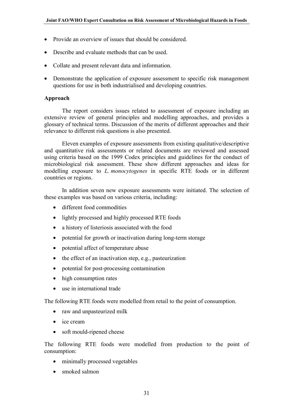- Provide an overview of issues that should be considered.
- Describe and evaluate methods that can be used.
- Collate and present relevant data and information.
- Demonstrate the application of exposure assessment to specific risk management questions for use in both industrialised and developing countries.

#### **Approach**

The report considers issues related to assessment of exposure including an extensive review of general principles and modelling approaches, and provides a glossary of technical terms. Discussion of the merits of different approaches and their relevance to different risk questions is also presented.

Eleven examples of exposure assessments from existing qualitative/descriptive and quantitative risk assessments or related documents are reviewed and assessed using criteria based on the 1999 Codex principles and guidelines for the conduct of microbiological risk assessment. These show different approaches and ideas for modelling exposure to *L. monocytogenes* in specific RTE foods or in different countries or regions.

In addition seven new exposure assessments were initiated. The selection of these examples was based on various criteria, including:

- different food commodities
- lightly processed and highly processed RTE foods
- a history of listeriosis associated with the food
- potential for growth or inactivation during long-term storage
- potential affect of temperature abuse
- the effect of an inactivation step, e.g., pasteurization
- potential for post-processing contamination
- high consumption rates
- use in international trade

The following RTE foods were modelled from retail to the point of consumption.

- raw and unpasteurized milk
- ice cream
- soft mould-ripened cheese

The following RTE foods were modelled from production to the point of consumption:

- minimally processed vegetables
- smoked salmon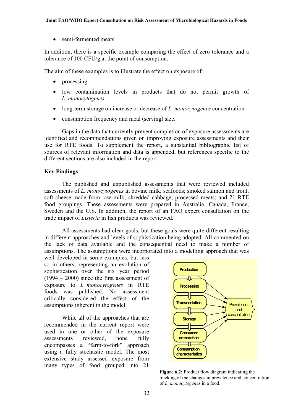semi-fermented meats

In addition, there is a specific example comparing the effect of zero tolerance and a tolerance of 100 CFU/g at the point of consumption.

The aim of these examples is to illustrate the effect on exposure of:

- processing
- low contamination levels in products that do not permit growth of *L. monocytogenes*
- long-term storage on increase or decrease of *L. monocytogenes* concentration
- consumption frequency and meal (serving) size.

Gaps in the data that currently prevent completion of exposure assessments are identified and recommendations given on improving exposure assessments and their use for RTE foods. To supplement the report, a substantial bibliographic list of sources of relevant information and data is appended, but references specific to the different sections are also included in the report.

## **Key Findings**

The published and unpublished assessments that were reviewed included assessments of *L. monocytogenes* in bovine milk; seafoods; smoked salmon and trout; soft cheese made from raw milk; shredded cabbage; processed meats; and 21 RTE food groupings. These assessments were prepared in Australia, Canada, France, Sweden and the U.S. In addition, the report of an FAO expert consultation on the trade impact of *Listeria* in fish products was reviewed.

All assessments had clear goals, but these goals were quite different resulting in different approaches and levels of sophistication being adopted. All commented on the lack of data available and the consequential need to make a number of assumptions. The assumptions were incorporated into a modelling approach that was

well developed in some examples, but less so in others, representing an evolution of sophistication over the six year period  $(1994 - 2000)$  since the first assessment of exposure to *L. monocytogenes* in RTE foods was published. No assessment critically considered the effect of the assumptions inherent in the model.

While all of the approaches that are recommended in the current report were used in one or other of the exposure assessments reviewed, none fully encompasses a "farm-to-fork" approach using a fully stochastic model. The most extensive study assessed exposure from many types of food grouped into 21



**Figure 6.2:** Product flow diagram indicating the tracking of the changes in prevalence and concentration of *L. monocytogenes* in a food.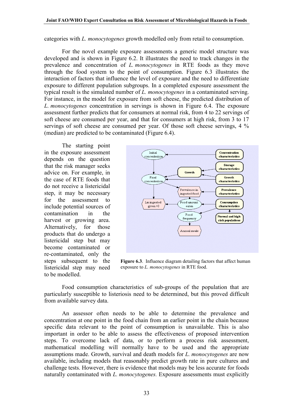categories with *L. monocytogenes* growth modelled only from retail to consumption.

For the novel example exposure assessments a generic model structure was developed and is shown in Figure 6.2. It illustrates the need to track changes in the prevalence and concentration of *L. monocytogenes* in RTE foods as they move through the food system to the point of consumption. Figure 6.3 illustrates the interaction of factors that influence the level of exposure and the need to differentiate exposure to different population subgroups. In a completed exposure assessment the typical result is the simulated number of *L. monocytogenes* in a contaminated serving. For instance, in the model for exposure from soft cheese, the predicted distribution of *L. monocytogenes* concentration in servings is shown in Figure 6.4. The exposure assessment further predicts that for consumers at normal risk, from 4 to 22 servings of soft cheese are consumed per year, and that for consumers at high risk, from 3 to 17 servings of soft cheese are consumed per year. Of those soft cheese servings, 4 % (median) are predicted to be contaminated (Figure 6.4).

The starting point in the exposure assessment depends on the question that the risk manager seeks advice on. For example, in the case of RTE foods that do not receive a listericidal step, it may be necessary for the assessment to include potential sources of contamination in the harvest or growing area. Alternatively, for those products that do undergo a listericidal step but may become contaminated or re-contaminated, only the steps subsequent to the listericidal step may need to be modelled.



**Figure 6.3**. Influence diagram detailing factors that affect human exposure to *L. monocytogenes* in RTE food.

Food consumption characteristics of sub-groups of the population that are particularly susceptible to listeriosis need to be determined, but this proved difficult from available survey data.

An assessor often needs to be able to determine the prevalence and concentration at one point in the food chain from an earlier point in the chain because specific data relevant to the point of consumption is unavailable. This is also important in order to be able to assess the effectiveness of proposed intervention steps. To overcome lack of data, or to perform a process risk assessment, mathematical modelling will normally have to be used and the appropriate assumptions made. Growth, survival and death models for *L. monocytogenes* are now available, including models that reasonably predict growth rate in pure cultures and challenge tests. However, there is evidence that models may be less accurate for foods naturally contaminated with *L. monocytogenes.* Exposure assessments must explicitly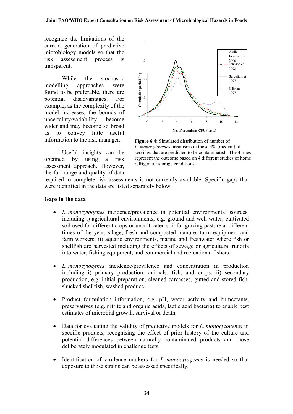recognize the limitations of the current generation of predictive microbiology models so that the risk assessment process is transparent.

While the stochastic modelling approaches were found to be preferable, there are potential disadvantages. For example, as the complexity of the model increases, the bounds of uncertainty/variability become wider and may become so broad as to convey little useful information to the risk manager.



**Figure 6.4:** Simulated distribution of number of *L. monocytogenes* organisms in those 4% (median) of servings that are predicted to be contaminated. The 4 lines represent the outcome based on 4 different studies of home refrigerator storage conditions.

Useful insights can be obtained by using a risk assessment approach. However, the full range and quality of data

required to complete risk assessments is not currently available. Specific gaps that were identified in the data are listed separately below.

#### **Gaps in the data**

- *L. monocytogenes* incidence/prevalence in potential environmental sources, including i) agricultural environments, e.g. ground and well water; cultivated soil used for different crops or uncultivated soil for grazing pasture at different times of the year, silage, fresh and composted manure, farm equipment and farm workers; ii) aquatic environments, marine and freshwater where fish or shellfish are harvested including the effects of sewage or agricultural runoffs into water, fishing equipment, and commercial and recreational fishers.
- *L. monocytogenes* incidence/prevalence and concentration in production including i) primary production: animals, fish, and crops; ii) secondary production, e.g. initial preparation, cleaned carcasses, gutted and stored fish, shucked shellfish, washed produce.
- Product formulation information, e.g. pH, water activity and humectants, preservatives (e.g. nitrite and organic acids, lactic acid bacteria) to enable best estimates of microbial growth, survival or death.
- Data for evaluating the validity of predictive models for *L. monocytogenes* in specific products, recognising the effect of prior history of the culture and potential differences between naturally contaminated products and those deliberately inoculated in challenge tests.
- Identification of virulence markers for *L. monocytogenes* is needed so that exposure to those strains can be assessed specifically.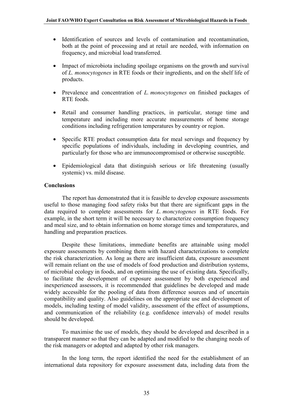- Identification of sources and levels of contamination and recontamination, both at the point of processing and at retail are needed, with information on frequency, and microbial load transferred.
- Impact of microbiota including spoilage organisms on the growth and survival of *L. monocytogenes* in RTE foods or their ingredients, and on the shelf life of products.
- Prevalence and concentration of *L. monocytogenes* on finished packages of RTE foods.
- Retail and consumer handling practices, in particular, storage time and temperature and including more accurate measurements of home storage conditions including refrigeration temperatures by country or region.
- Specific RTE product consumption data for meal servings and frequency by specific populations of individuals, including in developing countries, and particularly for those who are immunocompromised or otherwise susceptible.
- Epidemiological data that distinguish serious or life threatening (usually systemic) vs. mild disease.

## **Conclusions**

The report has demonstrated that it is feasible to develop exposure assessments useful to those managing food safety risks but that there are significant gaps in the data required to complete assessments for *L. moncytogenes* in RTE foods. For example, in the short term it will be necessary to characterize consumption frequency and meal size, and to obtain information on home storage times and temperatures, and handling and preparation practices.

Despite these limitations, immediate benefits are attainable using model exposure assessments by combining them with hazard characterizations to complete the risk characterization. As long as there are insufficient data, exposure assessment will remain reliant on the use of models of food production and distribution systems, of microbial ecology in foods, and on optimising the use of existing data. Specifically, to facilitate the development of exposure assessment by both experienced and inexperienced assessors, it is recommended that guidelines be developed and made widely accessible for the pooling of data from difference sources and of uncertain compatibility and quality. Also guidelines on the appropriate use and development of models, including testing of model validity, assessment of the effect of assumptions, and communication of the reliability (e.g. confidence intervals) of model results should be developed.

To maximise the use of models, they should be developed and described in a transparent manner so that they can be adapted and modified to the changing needs of the risk managers or adopted and adapted by other risk managers.

In the long term, the report identified the need for the establishment of an international data repository for exposure assessment data, including data from the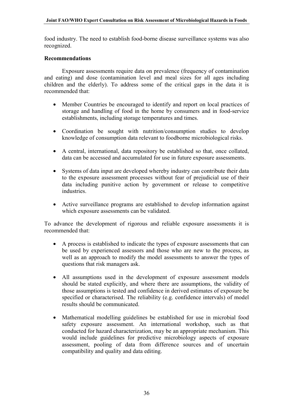food industry. The need to establish food-borne disease surveillance systems was also recognized.

#### **Recommendations**

Exposure assessments require data on prevalence (frequency of contamination and eating) and dose (contamination level and meal sizes for all ages including children and the elderly). To address some of the critical gaps in the data it is recommended that:

- Member Countries be encouraged to identify and report on local practices of storage and handling of food in the home by consumers and in food-service establishments, including storage temperatures and times.
- Coordination be sought with nutrition/consumption studies to develop knowledge of consumption data relevant to foodborne microbiological risks.
- A central, international, data repository be established so that, once collated, data can be accessed and accumulated for use in future exposure assessments.
- Systems of data input are developed whereby industry can contribute their data to the exposure assessment processes without fear of prejudicial use of their data including punitive action by government or release to competitive industries.
- Active surveillance programs are established to develop information against which exposure assessments can be validated.

To advance the development of rigorous and reliable exposure assessments it is recommended that:

- A process is established to indicate the types of exposure assessments that can be used by experienced assessors and those who are new to the process, as well as an approach to modify the model assessments to answer the types of questions that risk managers ask.
- All assumptions used in the development of exposure assessment models should be stated explicitly, and where there are assumptions, the validity of those assumptions is tested and confidence in derived estimates of exposure be specified or characterised. The reliability (e.g. confidence intervals) of model results should be communicated.
- Mathematical modelling guidelines be established for use in microbial food safety exposure assessment. An international workshop, such as that conducted for hazard characterization, may be an appropriate mechanism. This would include guidelines for predictive microbiology aspects of exposure assessment, pooling of data from difference sources and of uncertain compatibility and quality and data editing.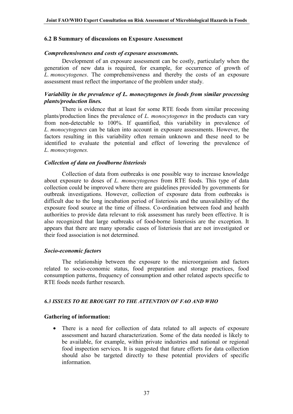## <span id="page-39-0"></span>**6.2 B Summary of discussions on Exposure Assessment**

#### *Comprehensiveness and costs of exposure assessments.*

Development of an exposure assessment can be costly, particularly when the generation of new data is required, for example, for occurrence of growth of *L. monocytogenes*. The comprehensiveness and thereby the costs of an exposure assessment must reflect the importance of the problem under study.

## *Variability in the prevalence of L. monocytogenes in foods from similar processing plants/production lines.*

There is evidence that at least for some RTE foods from similar processing plants/production lines the prevalence of *L. monocytogenes* in the products can vary from non-detectable to 100%. If quantified, this variability in prevalence of *L. monocytogenes* can be taken into account in exposure assessments. However, the factors resulting in this variability often remain unknown and these need to be identified to evaluate the potential and effect of lowering the prevalence of *L. monocytogenes.*

#### *Collection of data on foodborne listeriosis*

Collection of data from outbreaks is one possible way to increase knowledge about exposure to doses of *L. monocytogenes* from RTE foods. This type of data collection could be improved where there are guidelines provided by governments for outbreak investigations. However, collection of exposure data from outbreaks is difficult due to the long incubation period of listeriosis and the unavailability of the exposure food source at the time of illness. Co-ordination between food and health authorities to provide data relevant to risk assessment has rarely been effective. It is also recognized that large outbreaks of food-borne listeriosis are the exception. It appears that there are many sporadic cases of listeriosis that are not investigated or their food association is not determined.

#### *Socio-economic factors*

The relationship between the exposure to the microorganism and factors related to socio-economic status, food preparation and storage practices, food consumption patterns, frequency of consumption and other related aspects specific to RTE foods needs further research.

#### *6.3 ISSUES TO BE BROUGHT TO THE ATTENTION OF FAO AND WHO*

#### **Gathering of information:**

• There is a need for collection of data related to all aspects of exposure assessment and hazard characterization. Some of the data needed is likely to be available, for example, within private industries and national or regional food inspection services. It is suggested that future efforts for data collection should also be targeted directly to these potential providers of specific information.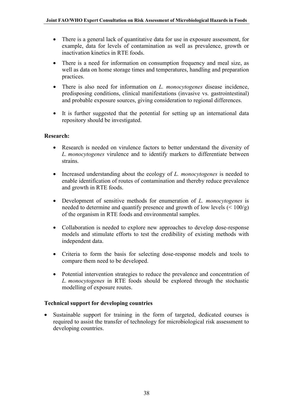- There is a general lack of quantitative data for use in exposure assessment, for example, data for levels of contamination as well as prevalence, growth or inactivation kinetics in RTE foods.
- There is a need for information on consumption frequency and meal size, as well as data on home storage times and temperatures, handling and preparation practices.
- There is also need for information on *L. monocytogenes* disease incidence, predisposing conditions, clinical manifestations (invasive vs. gastrointestinal) and probable exposure sources, giving consideration to regional differences.
- It is further suggested that the potential for setting up an international data repository should be investigated.

## **Research:**

- Research is needed on virulence factors to better understand the diversity of *L. monocytogenes* virulence and to identify markers to differentiate between strains.
- Increased understanding about the ecology of *L. monocytogenes* is needed to enable identification of routes of contamination and thereby reduce prevalence and growth in RTE foods.
- Development of sensitive methods for enumeration of *L. monocytogenes* is needed to determine and quantify presence and growth of low levels  $(< 100/g$ ) of the organism in RTE foods and environmental samples.
- Collaboration is needed to explore new approaches to develop dose-response models and stimulate efforts to test the credibility of existing methods with independent data.
- Criteria to form the basis for selecting dose-response models and tools to compare them need to be developed.
- Potential intervention strategies to reduce the prevalence and concentration of *L. monocytogenes* in RTE foods should be explored through the stochastic modelling of exposure routes.

#### **Technical support for developing countries**

• Sustainable support for training in the form of targeted, dedicated courses is required to assist the transfer of technology for microbiological risk assessment to developing countries.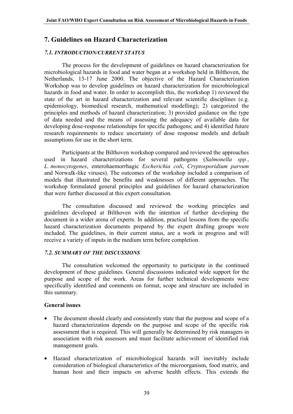## <span id="page-41-0"></span>**7. Guidelines on Hazard Characterization**

## *7.1. INTRODUCTION/CURRENT STATUS*

The process for the development of guidelines on hazard characterization for microbiological hazards in food and water began at a workshop held in Bilthoven, the Netherlands, 13-17 June 2000. The objective of the Hazard Characterization Workshop was to develop guidelines on hazard characterization for microbiological hazards in food and water. In order to accomplish this, the workshop 1) reviewed the state of the art in hazard characterization and relevant scientific disciplines (e.g. epidemiology, biomedical research, mathematical modelling); 2) categorized the principles and methods of hazard characterization; 3) provided guidance on the type of data needed and the means of assessing the adequacy of available data for developing dose-response relationships for specific pathogens; and 4) identified future research requirements to reduce uncertainty of dose response models and default assumptions for use in the short term.

Participants at the Bilthoven workshop compared and reviewed the approaches used in hazard characterizations for several pathogens (*Salmonella spp.*, *L. monocytogenes*, enterohaemorrhagic *Escherichia coli*, *Cryptosporidium parvum* and Norwalk-like viruses). The outcomes of the workshop included a comparison of models that illustrated the benefits and weaknesses of different approaches. The workshop formulated general principles and guidelines for hazard characterization that were further discussed at this expert consultation.

The consultation discussed and reviewed the working principles and guidelines developed at Bilthoven with the intention of further developing the document in a wider arena of experts. In addition, practical lessons from the specific hazard characterization documents prepared by the expert drafting groups were included. The guidelines, in their current status, are a work in progress and will receive a variety of inputs in the medium term before completion.

## *7.2. SUMMARY OF THE DISCUSSIONS*

The consultation welcomed the opportunity to participate in the continued development of these guidelines. General discussions indicated wide support for the purpose and scope of the work. Areas for further technical developments were specifically identified and comments on format, scope and structure are included in this summary.

## **General issues**

- The document should clearly and consistently state that the purpose and scope of a hazard characterization depends on the purpose and scope of the specific risk assessment that is required. This will generally be determined by risk managers in association with risk assessors and must facilitate achievement of identified risk management goals.
- Hazard characterization of microbiological hazards will inevitably include consideration of biological characteristics of the microorganism, food matrix, and human host and their impacts on adverse health effects. This extends the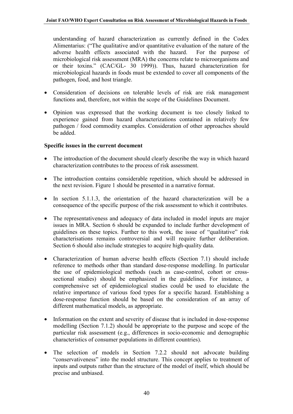understanding of hazard characterization as currently defined in the Codex Alimentarius: ("The qualitative and/or quantitative evaluation of the nature of the adverse health effects associated with the hazard. For the purpose of microbiological risk assessment (MRA) the concerns relate to microorganisms and or their toxins." (CAC/GL- 30 1999)). Thus, hazard characterization for microbiological hazards in foods must be extended to cover all components of the pathogen, food, and host triangle.

- Consideration of decisions on tolerable levels of risk are risk management functions and, therefore, not within the scope of the Guidelines Document.
- Opinion was expressed that the working document is too closely linked to experience gained from hazard characterizations contained in relatively few pathogen / food commodity examples. Consideration of other approaches should be added.

## **Specific issues in the current document**

- The introduction of the document should clearly describe the way in which hazard characterization contributes to the process of risk assessment.
- The introduction contains considerable repetition, which should be addressed in the next revision. Figure 1 should be presented in a narrative format.
- In section 5.1.1.3, the orientation of the hazard characterization will be a consequence of the specific purpose of the risk assessment to which it contributes.
- The representativeness and adequacy of data included in model inputs are major issues in MRA. Section 6 should be expanded to include further development of guidelines on these topics. Further to this work, the issue of "qualitative" risk characterisations remains controversial and will require further deliberation. Section 6 should also include strategies to acquire high-quality data.
- Characterization of human adverse health effects (Section 7.1) should include reference to methods other than standard dose-response modelling. In particular the use of epidemiological methods (such as case-control, cohort or crosssectional studies) should be emphasized in the guidelines. For instance, a comprehensive set of epidemiological studies could be used to elucidate the relative importance of various food types for a specific hazard. Establishing a dose-response function should be based on the consideration of an array of different mathematical models, as appropriate.
- Information on the extent and severity of disease that is included in dose-response modelling (Section 7.1.2) should be appropriate to the purpose and scope of the particular risk assessment (e.g., differences in socio-economic and demographic characteristics of consumer populations in different countries).
- The selection of models in Section 7.2.2 should not advocate building "conservativeness" into the model structure. This concept applies to treatment of inputs and outputs rather than the structure of the model of itself, which should be precise and unbiased.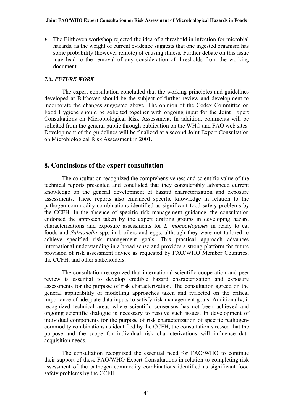<span id="page-43-0"></span>• The Bilthoven workshop rejected the idea of a threshold in infection for microbial hazards, as the weight of current evidence suggests that one ingested organism has some probability (however remote) of causing illness. Further debate on this issue may lead to the removal of any consideration of thresholds from the working document.

#### *7.3. FUTURE WORK*

The expert consultation concluded that the working principles and guidelines developed at Bilthoven should be the subject of further review and development to incorporate the changes suggested above. The opinion of the Codex Committee on Food Hygiene should be solicited together with ongoing input for the Joint Expert Consultations on Microbiological Risk Assessment. In addition, comments will be solicited from the general public through publication on the WHO and FAO web sites. Development of the guidelines will be finalized at a second Joint Expert Consultation on Microbiological Risk Assessment in 2001.

## **8. Conclusions of the expert consultation**

The consultation recognized the comprehensiveness and scientific value of the technical reports presented and concluded that they considerably advanced current knowledge on the general development of hazard characterization and exposure assessments. These reports also enhanced specific knowledge in relation to the pathogen-commodity combinations identified as significant food safety problems by the CCFH. In the absence of specific risk management guidance, the consultation endorsed the approach taken by the expert drafting groups in developing hazard characterizations and exposure assessments for *L. monocytogenes* in ready to eat foods and *Salmonella* spp. in broilers and eggs, although they were not tailored to achieve specified risk management goals. This practical approach advances international understanding in a broad sense and provides a strong platform for future provision of risk assessment advice as requested by FAO/WHO Member Countries, the CCFH, and other stakeholders.

The consultation recognized that international scientific cooperation and peer review is essential to develop credible hazard characterization and exposure assessments for the purpose of risk characterization. The consultation agreed on the general applicability of modelling approaches taken and reflected on the critical importance of adequate data inputs to satisfy risk management goals. Additionally, it recognized technical areas where scientific consensus has not been achieved and ongoing scientific dialogue is necessary to resolve such issues. In development of individual components for the purpose of risk characterization of specific pathogencommodity combinations as identified by the CCFH, the consultation stressed that the purpose and the scope for individual risk characterizations will influence data acquisition needs.

The consultation recognized the essential need for FAO/WHO to continue their support of these FAO/WHO Expert Consultations in relation to completing risk assessment of the pathogen-commodity combinations identified as significant food safety problems by the CCFH.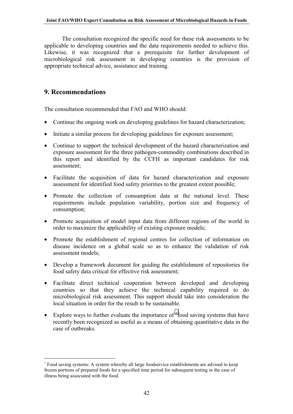<span id="page-44-0"></span>The consultation recognized the specific need for these risk assessments to be applicable to developing countries and the data requirements needed to achieve this. Likewise, it was recognized that a prerequisite for further development of microbiological risk assessment in developing countries is the provision of appropriate technical advice, assistance and training.

## **9. Recommendations**

 $\overline{a}$ 

The consultation recommended that FAO and WHO should:

- Continue the ongoing work on developing guidelines for hazard characterization;
- Initiate a similar process for developing guidelines for exposure assessment;
- Continue to support the technical development of the hazard characterization and exposure assessment for the three pathogen-commodity combinations described in this report and identified by the CCFH as important candidates for risk assessment;
- Facilitate the acquisition of data for hazard characterization and exposure assessment for identified food safety priorities to the greatest extent possible;
- Promote the collection of consumption data at the national level. These requirements include population variability, portion size and frequency of consumption;
- Promote acquisition of model input data from different regions of the world in order to maximize the applicability of existing exposure models;
- Promote the establishment of regional centres for collection of information on disease incidence on a global scale so as to enhance the validation of risk assessment models;
- Develop a framework document for guiding the establishment of repositories for food safety data critical for effective risk assessment;
- Facilitate direct technical cooperation between developed and developing countries so that they achieve the technical capability required to do microbiological risk assessment. This support should take into consideration the local situation in order for the result to be sustainable.
- Explore ways to further evaluate the importance of <sup>∗</sup> food saving systems that have recently been recognized as useful as a means of obtaining quantitative data in the case of outbreaks.

<sup>∗</sup> Food saving systems: A system whereby all large foodservice establishments are advised to keep frozen portions of prepared foods for a specified time period for subsequent testing in the case of illness being associated with the food.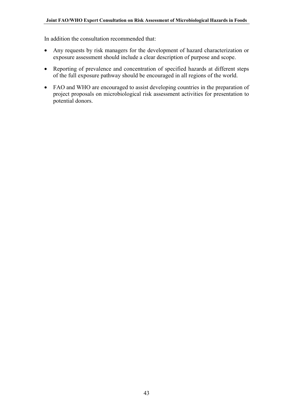In addition the consultation recommended that:

- Any requests by risk managers for the development of hazard characterization or exposure assessment should include a clear description of purpose and scope.
- Reporting of prevalence and concentration of specified hazards at different steps of the full exposure pathway should be encouraged in all regions of the world.
- FAO and WHO are encouraged to assist developing countries in the preparation of project proposals on microbiological risk assessment activities for presentation to potential donors.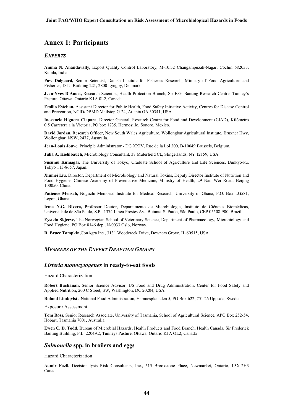## <span id="page-46-0"></span>**Annex 1: Participants**

#### *EXPERTS*

**Amma N. Anandavally,** Export Quality Control Laboratory, M-10.32 Changampuzah-Nagar, Cochin 682033, Kerala, India.

**Paw Dalgaard,** Senior Scientist, Danish Institute for Fisheries Research, Ministry of Food Agriculture and Fisheries, DTU Building 221, 2800 Lyngby, Denmark.

**Jean-Yves D'Aoust,** Research Scientist, Health Protection Branch, Sir F.G. Banting Research Centre, Tunney's Pasture, Ottawa. Ontario K1A 0L2, Canada.

**Emilio Esteban,** Assistant Director for Public Health, Food Safety Initiative Activity, Centres for Disease Control and Prevention, NCID/DBMD Mailstop G-24, Atlanta GA 30341, USA.

**Inocencio Higuera Ciapara,** Director General, Research Centre for Food and Development (CIAD), Kilómetro 0.5 Carretera a la Victoria, PO box 1735, Hermosillo, Sonoro, Mexico.

**David Jordan,** Research Officer, New South Wales Agriculture, Wollongbar Agricultural Institute, Bruxner Hwy, Wollongbar, NSW, 2477, Australia.

**Jean-Louis Jouve,** Principle Administrator - DG XXIV, Rue de la Loi 200, B-10049 Brussels, Belgium.

**Julia A. Kiehlbauch,** Microbiology Consultant, 37 Muterfield Ct., Slingerlands, NY 12159, USA.

**Susumu Kumagai,** The University of Tokyo, Graduate School of Agriculture and Life Sciences, Bunkyo-ku, Tokyo 113-8657, Japan.

**Xiumei Liu,** Director, Department of Microbiology and Natural Toxins, Deputy Director Institute of Nutrition and Food Hygiene, Chinese Academy of Preventative Medicine, Ministry of Health, 29 Nan Wei Road, Beijing 100050, China.

**Patience Mensah,** Noguchi Memorial Institute for Medical Research, University of Ghana, P.O. Box LG581, Legon, Ghana

**Irma N.G. Rivera,** Professor Doutor, Departamento de Microbiologia, Instituto de Ciências Biomédicas, Universidade de São Paulo, S.P., 1374 Lineu Prestes Av., Butanta-S. Paulo, São Paulo, CEP 05508-900, Brazil .

**Eystein Skjerve,** The Norwegian School of Veterinary Science, Department of Pharmacology, Microbiology and Food Hygiene, PO Box 8146 dep., N-0033 Oslo, Norway.

**R. Bruce Tompkin,**ConAgra Inc., 3131 Woodcreek Drive, Downers Grove, IL 60515, USA.

#### *MEMBERS OF THE EXPERT DRAFTING GROUPS*

#### *Listeria monocytogenes* **in ready-to-eat foods**

#### Hazard Characterization

**Robert Buchanan,** Senior Science Advisor, US Food and Drug Administration, Center for Food Safety and Applied Nutrition, 200 C Street, SW, Washington, DC 20204, USA.

**Roland Lindqvist ,** National Food Administration, Hamnesplanaden 5, PO Box 622, 751 26 Uppsala, Sweden.

#### Exposure Assessment

**Tom Ross**, Senior Research Associate, University of Tasmania, School of Agricultural Science, APO Box 252-54, Hobart, Tasmania 7001, Australia

**Ewen C. D. Todd,** Bureau of Microbial Hazards, Health Products and Food Branch, Health Canada, Sir Frederick Banting Building, P.L. 2204A2, Tunneys Pasture, Ottawa, Ontario K1A OL2, Canada

#### *Salmonella* **spp. in broilers and eggs**

#### Hazard Characterization

**Aamir Fazil,** Decisionalysis Risk Consultants, Inc., 515 Brookstone Place, Newmarket, Ontario, L3X-2H3 Canada.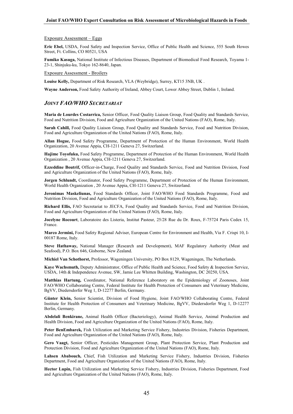#### <span id="page-47-0"></span>Exposure Assessment – Eggs

**Eric Ebel,** USDA, Food Safety and Inspection Service, Office of Public Health and Science, 555 South Howes Street, Ft. Collins, CO 80521, USA

**Fumiko Kasuga,** National Institute of Infectious Diseases, Department of Biomedical Food Research, Toyama 1- 23-1, Shinjuku-ku, Tokyo 162-8640, Japan.

Exposure Assessment - Broilers

**Louise Kelly,** Department of Risk Research, VLA (Weybridge), Surrey, KT15 3NB, UK .

**Wayne Anderson,** Food Safety Authority of Ireland, Abbey Court, Lower Abbey Street, Dublin 1, Ireland.

#### *JOINT FAO/WHO SECRETARIAT*

**Maria de Lourdes Costarrica,** Senior Officer, Food Quality Liaison Group, Food Quality and Standards Service, Food and Nutrition Division, Food and Agriculture Organization of the United Nations (FAO), Rome, Italy.

**Sarah Cahill,** Food Quality Liaison Group, Food Quality and Standards Service, Food and Nutrition Division, Food and Agriculture Organization of the United Nations (FAO), Rome, Italy.

**Allan Hogue,** Food Safety Programme, Department of Protection of the Human Environment, World Health Organization, 20 Avenue Appia, CH-1211 Geneva 27, Switzerland.

**Hajime Toyofuku,** Food Safety Programme, Department of Protection of the Human Environment, World Health Organization , 20 Avenue Appia, CH-1211 Geneva 27, Switzerland.

**Ezzeddine Boutrif,** Officer-in-Charge, Food Quality and Standards Service, Food and Nutrition Division, Food and Agriculture Organization of the United Nations (FAO), Rome, Italy.

**Jorgen Schlundt,** Coordinator, Food Safety Programme, Department of Protection of the Human Environment, World Health Organization , 20 Avenue Appia, CH-1211 Geneva 27, Switzerland.

**Jeronimas Maskeliunas,** Food Standards Officer, Joint FAO/WHO Food Standards Programme, Food and Nutrition Division, Food and Agriculture Organization of the United Nations (FAO), Rome, Italy.

**Richard Ellis,** FAO Secretariat to JECFA, Food Quality and Standards Service, Food and Nutrition Division, Food and Agriculture Organization of the United Nations (FAO), Rome, Italy.

**Jocelyne Rocourt**, Laboratoire des Listeria, Institut Pasteur, 25/28 Rue du Dr. Roux, F-75724 Paris Cedex 15, France.

**Marco Jermini,** Food Safety Regional Adviser, European Centre for Environment and Health, Via F. Crispi 10, I-00187 Rome, Italy.

**Steve Hathaway,** National Manager (Research and Development), MAF Regulatory Authority (Meat and Seafood), P.O. Box 646, Gisborne, New Zealand.

**Michiel Van Schothorst,** Professor, Wageningen University, PO Box 8129, Wageningen, The Netherlands.

**Kaye Wachsmuth,** Deputy Administrator, Office of Public Health and Science, Food Safety & Inspection Service, USDA, 14th & Independence Avenue, SW, Jamie Lee Whitten Building, Washington, DC 20250, USA.

**Matthias Hartung,** Coordinator, National Reference Laboratory on the Epidemiology of Zoonoses, Joint FAO/WHO Collaborating Centre, Federal Institute for Health Protection of Consumers and Veterinary Medicine, BgVV, Diedersdorfer Weg 1, D-12277 Berlin, Germany.

**Günter Klein,** Senior Scientist, Division of Food Hygiene, Joint FAO/WHO Collaborating Centre, Federal Institute for Health Protection of Consumers and Veterinary Medicine, BgVV, Diedersdorfer Weg 1, D-12277 Berlin, Germany.

**Abdelali Benkirane,** Animal Health Officer (Bacteriology), Animal Health Service, Animal Production and Health Division, Food and Agriculture Organization of the United Nations (FAO), Rome, Italy.

**Peter BenEmbarek,** Fish Utilization and Marketing Service Fishery, Industries Division, Fisheries Department, Food and Agriculture Organization of the United Nations (FAO), Rome, Italy.

**Gero Vaagt,** Senior Officer, Pesticides Management Group, Plant Protection Service, Plant Production and Protection Division, Food and Agriculture Organization of the United Nations (FAO), Rome, Italy.

**Lahsen Ababouch,** Chief, Fish Utilization and Marketing Service Fishery, Industries Division, Fisheries Department, Food and Agriculture Organization of the United Nations (FAO), Rome, Italy.

**Hector Lupin,** Fish Utilization and Marketing Service Fishery, Industries Division, Fisheries Department, Food and Agriculture Organization of the United Nations (FAO), Rome, Italy.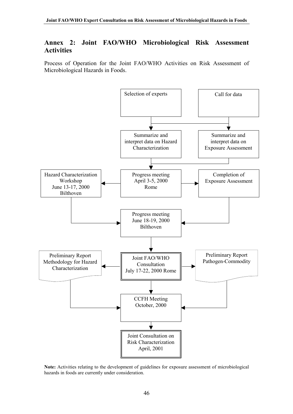## <span id="page-48-0"></span>**Annex 2: Joint FAO/WHO Microbiological Risk Assessment Activities**

Process of Operation for the Joint FAO/WHO Activities on Risk Assessment of Microbiological Hazards in Foods.



**Note:** Activities relating to the development of guidelines for exposure assessment of microbiological hazards in foods are currently under consideration.